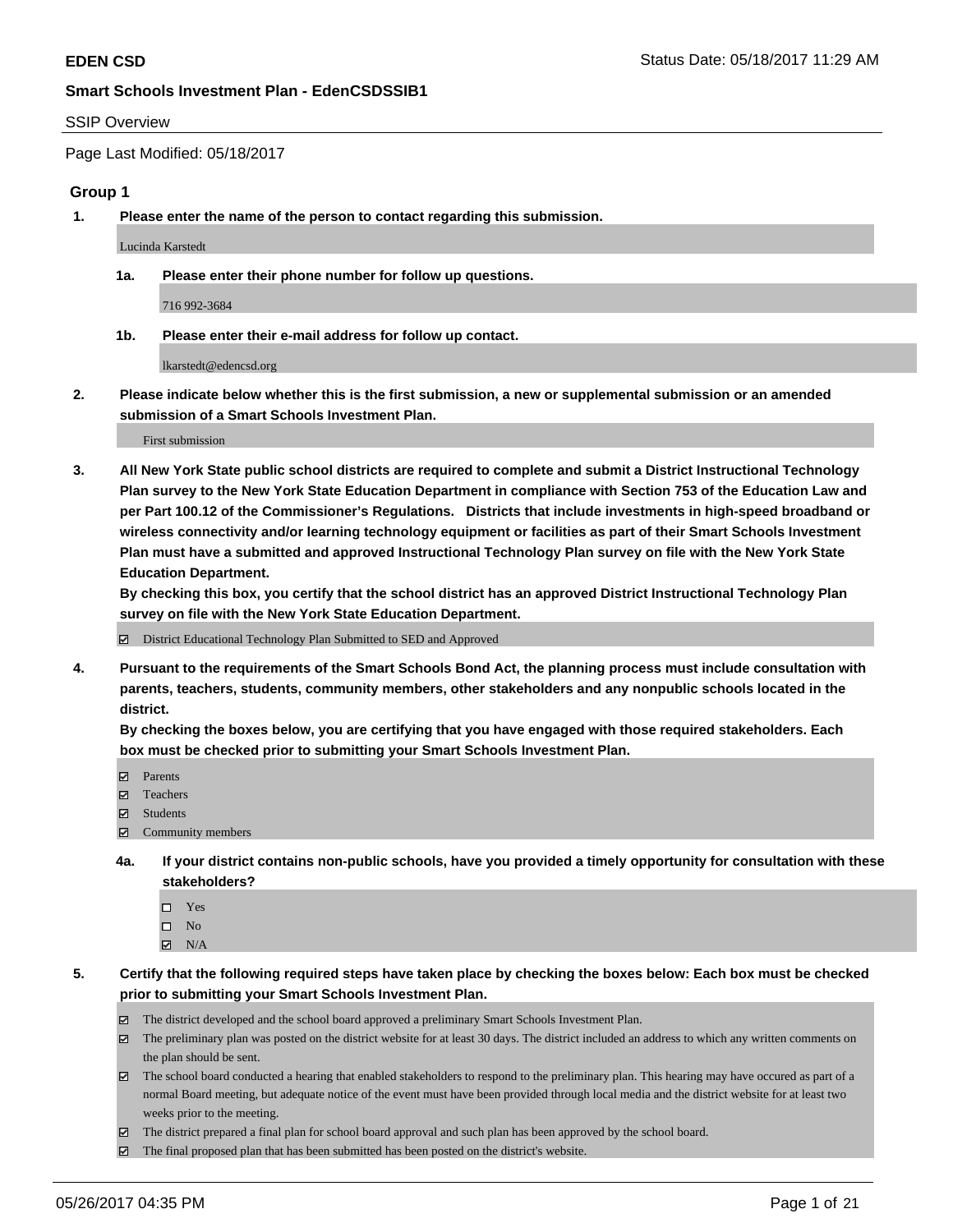### SSIP Overview

Page Last Modified: 05/18/2017

### **Group 1**

**1. Please enter the name of the person to contact regarding this submission.**

Lucinda Karstedt

**1a. Please enter their phone number for follow up questions.**

716 992-3684

**1b. Please enter their e-mail address for follow up contact.**

lkarstedt@edencsd.org

**2. Please indicate below whether this is the first submission, a new or supplemental submission or an amended submission of a Smart Schools Investment Plan.**

First submission

**3. All New York State public school districts are required to complete and submit a District Instructional Technology Plan survey to the New York State Education Department in compliance with Section 753 of the Education Law and per Part 100.12 of the Commissioner's Regulations. Districts that include investments in high-speed broadband or wireless connectivity and/or learning technology equipment or facilities as part of their Smart Schools Investment Plan must have a submitted and approved Instructional Technology Plan survey on file with the New York State Education Department.** 

**By checking this box, you certify that the school district has an approved District Instructional Technology Plan survey on file with the New York State Education Department.**

District Educational Technology Plan Submitted to SED and Approved

**4. Pursuant to the requirements of the Smart Schools Bond Act, the planning process must include consultation with parents, teachers, students, community members, other stakeholders and any nonpublic schools located in the district.** 

**By checking the boxes below, you are certifying that you have engaged with those required stakeholders. Each box must be checked prior to submitting your Smart Schools Investment Plan.**

- **マ** Parents
- □ Teachers
- Students
- $\Xi$  Community members
- **4a. If your district contains non-public schools, have you provided a timely opportunity for consultation with these stakeholders?**
	- Yes
	- $\hfill \square$  No
	- $\boxtimes$  N/A
- **5. Certify that the following required steps have taken place by checking the boxes below: Each box must be checked prior to submitting your Smart Schools Investment Plan.**
	- The district developed and the school board approved a preliminary Smart Schools Investment Plan.
	- $\boxtimes$  The preliminary plan was posted on the district website for at least 30 days. The district included an address to which any written comments on the plan should be sent.
	- $\boxtimes$  The school board conducted a hearing that enabled stakeholders to respond to the preliminary plan. This hearing may have occured as part of a normal Board meeting, but adequate notice of the event must have been provided through local media and the district website for at least two weeks prior to the meeting.
	- The district prepared a final plan for school board approval and such plan has been approved by the school board.
	- $\boxtimes$  The final proposed plan that has been submitted has been posted on the district's website.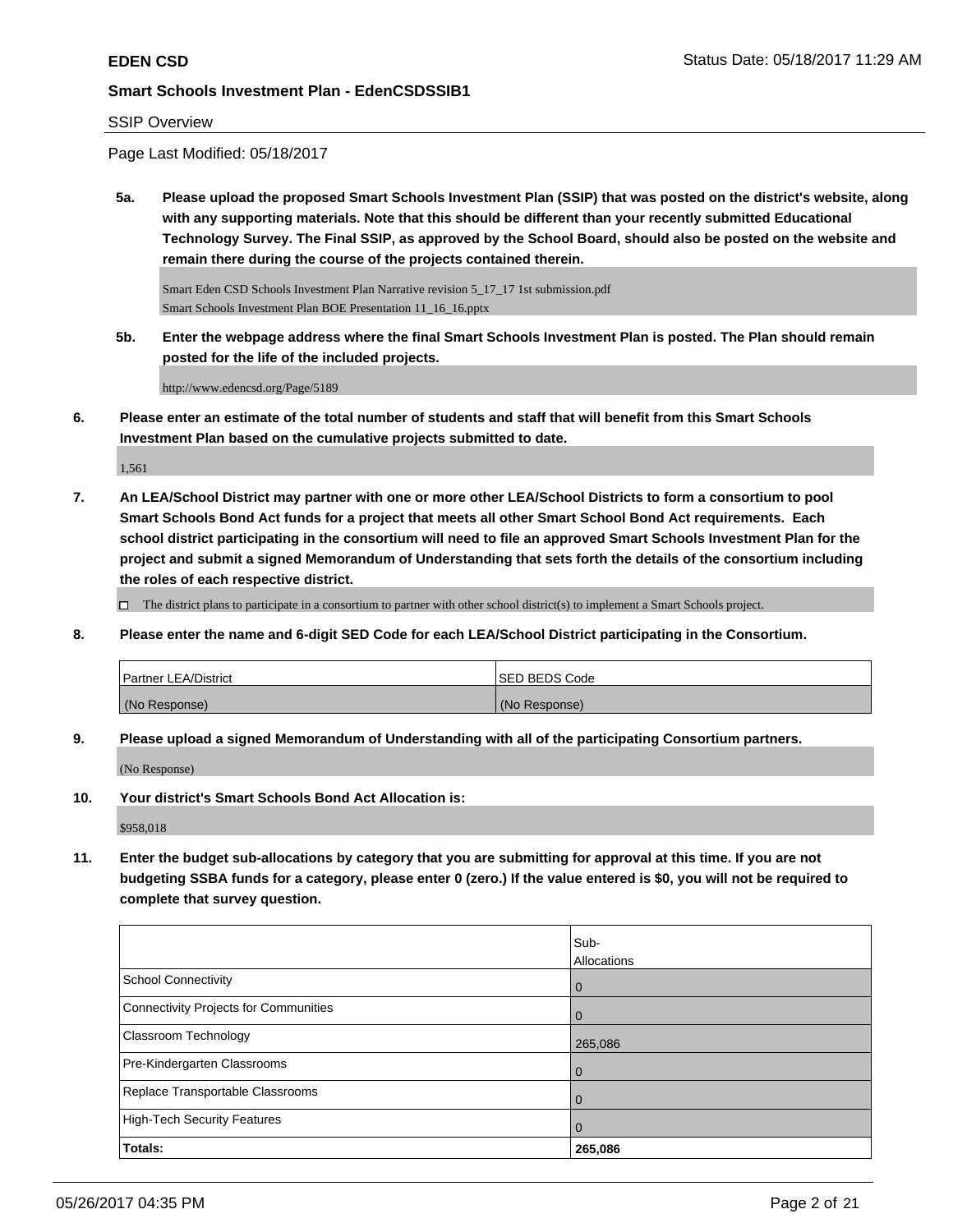## SSIP Overview

Page Last Modified: 05/18/2017

**5a. Please upload the proposed Smart Schools Investment Plan (SSIP) that was posted on the district's website, along with any supporting materials. Note that this should be different than your recently submitted Educational Technology Survey. The Final SSIP, as approved by the School Board, should also be posted on the website and remain there during the course of the projects contained therein.**

Smart Eden CSD Schools Investment Plan Narrative revision 5\_17\_17 1st submission.pdf Smart Schools Investment Plan BOE Presentation 11\_16\_16.pptx

**5b. Enter the webpage address where the final Smart Schools Investment Plan is posted. The Plan should remain posted for the life of the included projects.**

http://www.edencsd.org/Page/5189

**6. Please enter an estimate of the total number of students and staff that will benefit from this Smart Schools Investment Plan based on the cumulative projects submitted to date.**

1,561

**7. An LEA/School District may partner with one or more other LEA/School Districts to form a consortium to pool Smart Schools Bond Act funds for a project that meets all other Smart School Bond Act requirements. Each school district participating in the consortium will need to file an approved Smart Schools Investment Plan for the project and submit a signed Memorandum of Understanding that sets forth the details of the consortium including the roles of each respective district.**

 $\Box$  The district plans to participate in a consortium to partner with other school district(s) to implement a Smart Schools project.

**8. Please enter the name and 6-digit SED Code for each LEA/School District participating in the Consortium.**

| <b>Partner LEA/District</b> | ISED BEDS Code |
|-----------------------------|----------------|
| (No Response)               | (No Response)  |

**9. Please upload a signed Memorandum of Understanding with all of the participating Consortium partners.**

(No Response)

**10. Your district's Smart Schools Bond Act Allocation is:**

\$958,018

**11. Enter the budget sub-allocations by category that you are submitting for approval at this time. If you are not budgeting SSBA funds for a category, please enter 0 (zero.) If the value entered is \$0, you will not be required to complete that survey question.**

|                                       | Sub-           |
|---------------------------------------|----------------|
|                                       | Allocations    |
| School Connectivity                   | $\overline{0}$ |
| Connectivity Projects for Communities | $\overline{0}$ |
| <b>Classroom Technology</b>           | 265,086        |
| Pre-Kindergarten Classrooms           | $\overline{0}$ |
| Replace Transportable Classrooms      | $\Omega$       |
| High-Tech Security Features           | $\overline{0}$ |
| Totals:                               | 265,086        |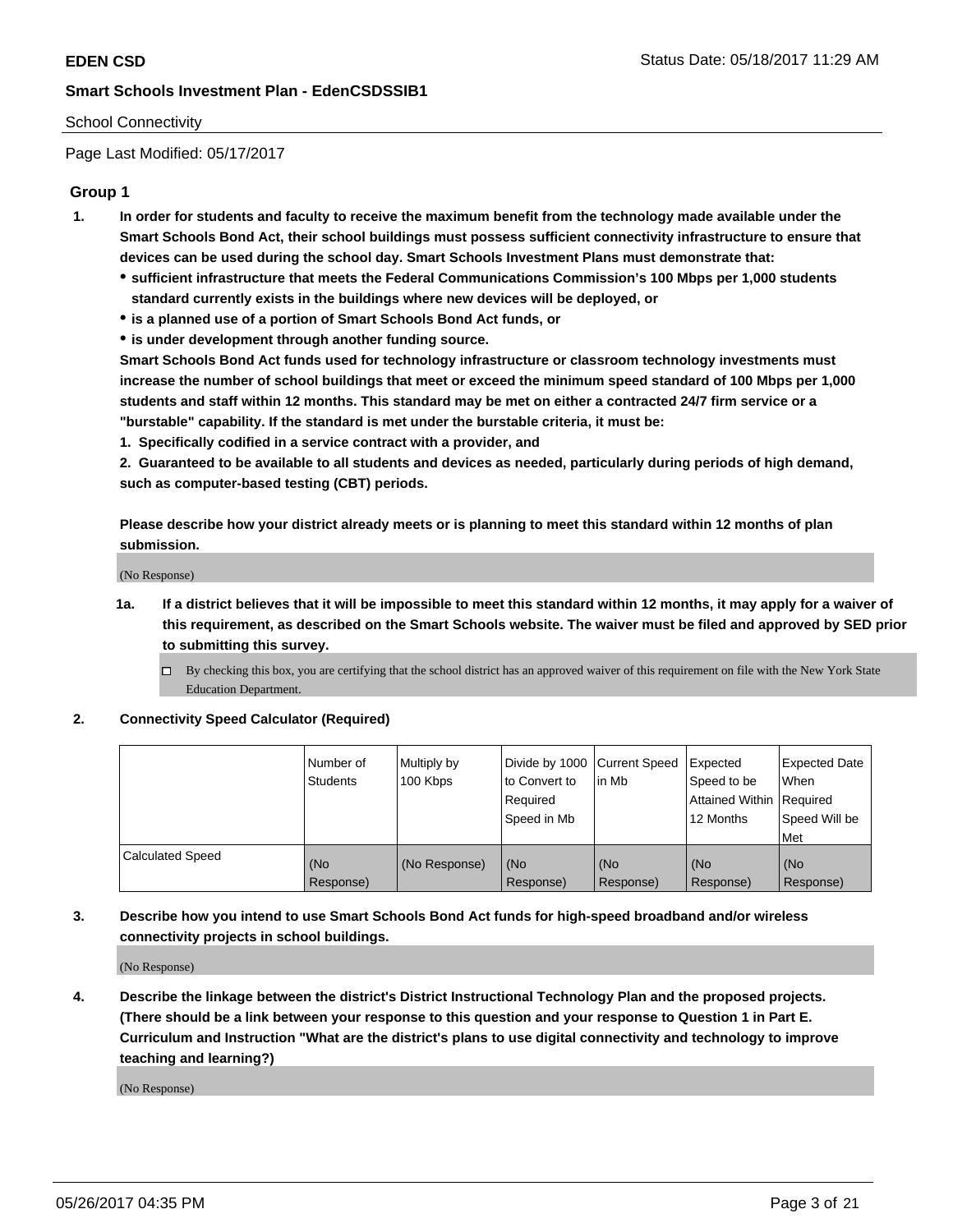## School Connectivity

Page Last Modified: 05/17/2017

## **Group 1**

- **1. In order for students and faculty to receive the maximum benefit from the technology made available under the Smart Schools Bond Act, their school buildings must possess sufficient connectivity infrastructure to ensure that devices can be used during the school day. Smart Schools Investment Plans must demonstrate that:**
	- **sufficient infrastructure that meets the Federal Communications Commission's 100 Mbps per 1,000 students standard currently exists in the buildings where new devices will be deployed, or**
	- **is a planned use of a portion of Smart Schools Bond Act funds, or**
	- **is under development through another funding source.**

**Smart Schools Bond Act funds used for technology infrastructure or classroom technology investments must increase the number of school buildings that meet or exceed the minimum speed standard of 100 Mbps per 1,000 students and staff within 12 months. This standard may be met on either a contracted 24/7 firm service or a "burstable" capability. If the standard is met under the burstable criteria, it must be:**

**1. Specifically codified in a service contract with a provider, and**

**2. Guaranteed to be available to all students and devices as needed, particularly during periods of high demand, such as computer-based testing (CBT) periods.**

**Please describe how your district already meets or is planning to meet this standard within 12 months of plan submission.**

(No Response)

- **1a. If a district believes that it will be impossible to meet this standard within 12 months, it may apply for a waiver of this requirement, as described on the Smart Schools website. The waiver must be filed and approved by SED prior to submitting this survey.**
	- By checking this box, you are certifying that the school district has an approved waiver of this requirement on file with the New York State Education Department.

### **2. Connectivity Speed Calculator (Required)**

|                         | l Number of<br><b>Students</b> | Multiply by<br>100 Kbps | Divide by 1000   Current Speed<br>to Convert to<br>Required<br>l Speed in Mb | in Mb            | Expected<br>Speed to be<br>Attained Within Required<br>12 Months | <b>Expected Date</b><br>When<br>Speed Will be<br><b>Met</b> |
|-------------------------|--------------------------------|-------------------------|------------------------------------------------------------------------------|------------------|------------------------------------------------------------------|-------------------------------------------------------------|
| <b>Calculated Speed</b> | (No<br>Response)               | (No Response)           | (No<br>Response)                                                             | (No<br>Response) | (No<br>Response)                                                 | l (No<br>Response)                                          |

## **3. Describe how you intend to use Smart Schools Bond Act funds for high-speed broadband and/or wireless connectivity projects in school buildings.**

(No Response)

**4. Describe the linkage between the district's District Instructional Technology Plan and the proposed projects. (There should be a link between your response to this question and your response to Question 1 in Part E. Curriculum and Instruction "What are the district's plans to use digital connectivity and technology to improve teaching and learning?)**

(No Response)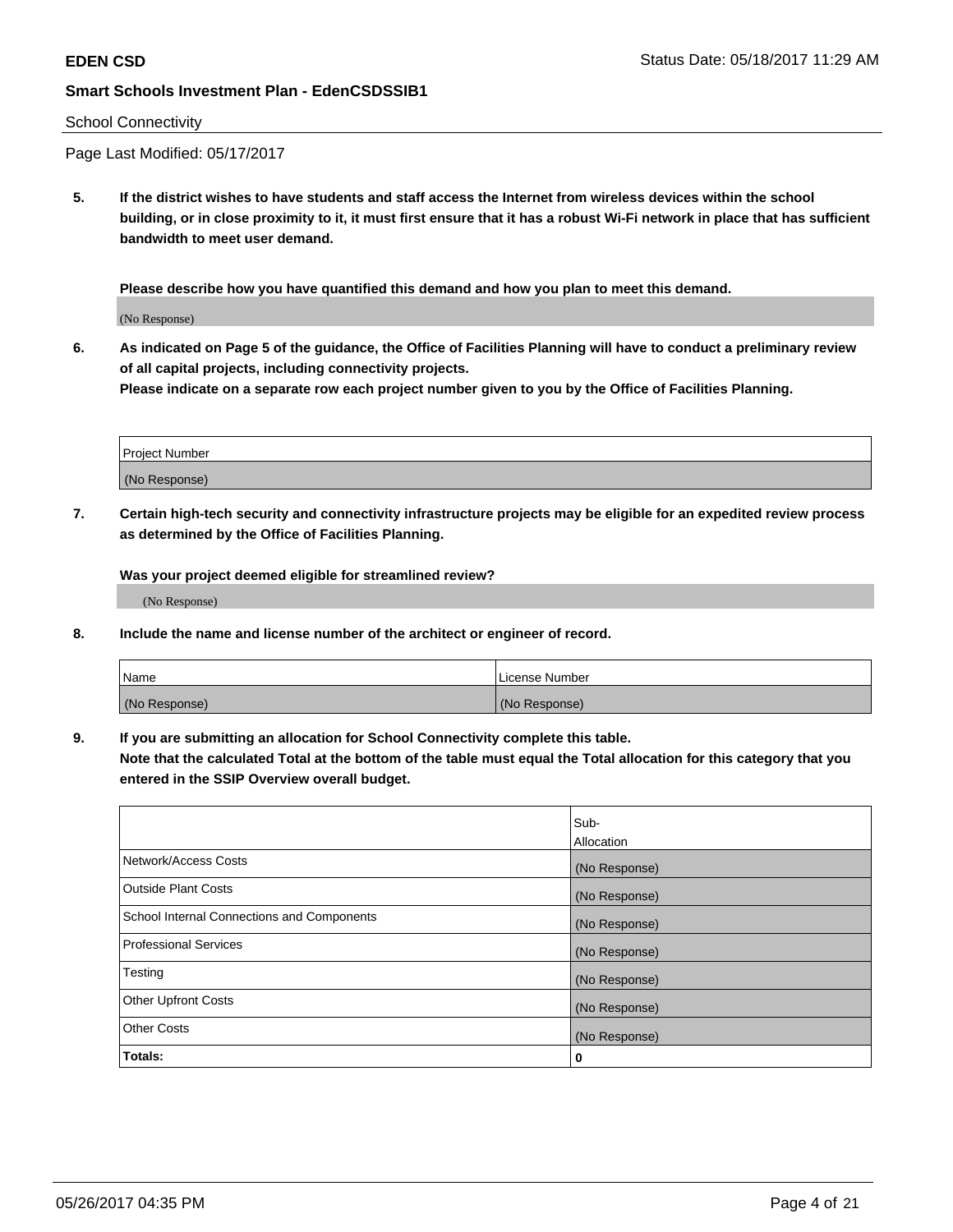### School Connectivity

Page Last Modified: 05/17/2017

**5. If the district wishes to have students and staff access the Internet from wireless devices within the school building, or in close proximity to it, it must first ensure that it has a robust Wi-Fi network in place that has sufficient bandwidth to meet user demand.**

**Please describe how you have quantified this demand and how you plan to meet this demand.**

(No Response)

**6. As indicated on Page 5 of the guidance, the Office of Facilities Planning will have to conduct a preliminary review of all capital projects, including connectivity projects.**

**Please indicate on a separate row each project number given to you by the Office of Facilities Planning.**

| Project Number |  |
|----------------|--|
|                |  |
| (No Response)  |  |

**7. Certain high-tech security and connectivity infrastructure projects may be eligible for an expedited review process as determined by the Office of Facilities Planning.**

**Was your project deemed eligible for streamlined review?**

(No Response)

**8. Include the name and license number of the architect or engineer of record.**

| Name          | License Number |
|---------------|----------------|
| (No Response) | (No Response)  |

**9. If you are submitting an allocation for School Connectivity complete this table.**

**Note that the calculated Total at the bottom of the table must equal the Total allocation for this category that you entered in the SSIP Overview overall budget.** 

|                                            | Sub-          |
|--------------------------------------------|---------------|
|                                            | Allocation    |
| Network/Access Costs                       | (No Response) |
| Outside Plant Costs                        | (No Response) |
| School Internal Connections and Components | (No Response) |
| <b>Professional Services</b>               | (No Response) |
| Testing                                    | (No Response) |
| <b>Other Upfront Costs</b>                 | (No Response) |
| <b>Other Costs</b>                         | (No Response) |
| Totals:                                    | 0             |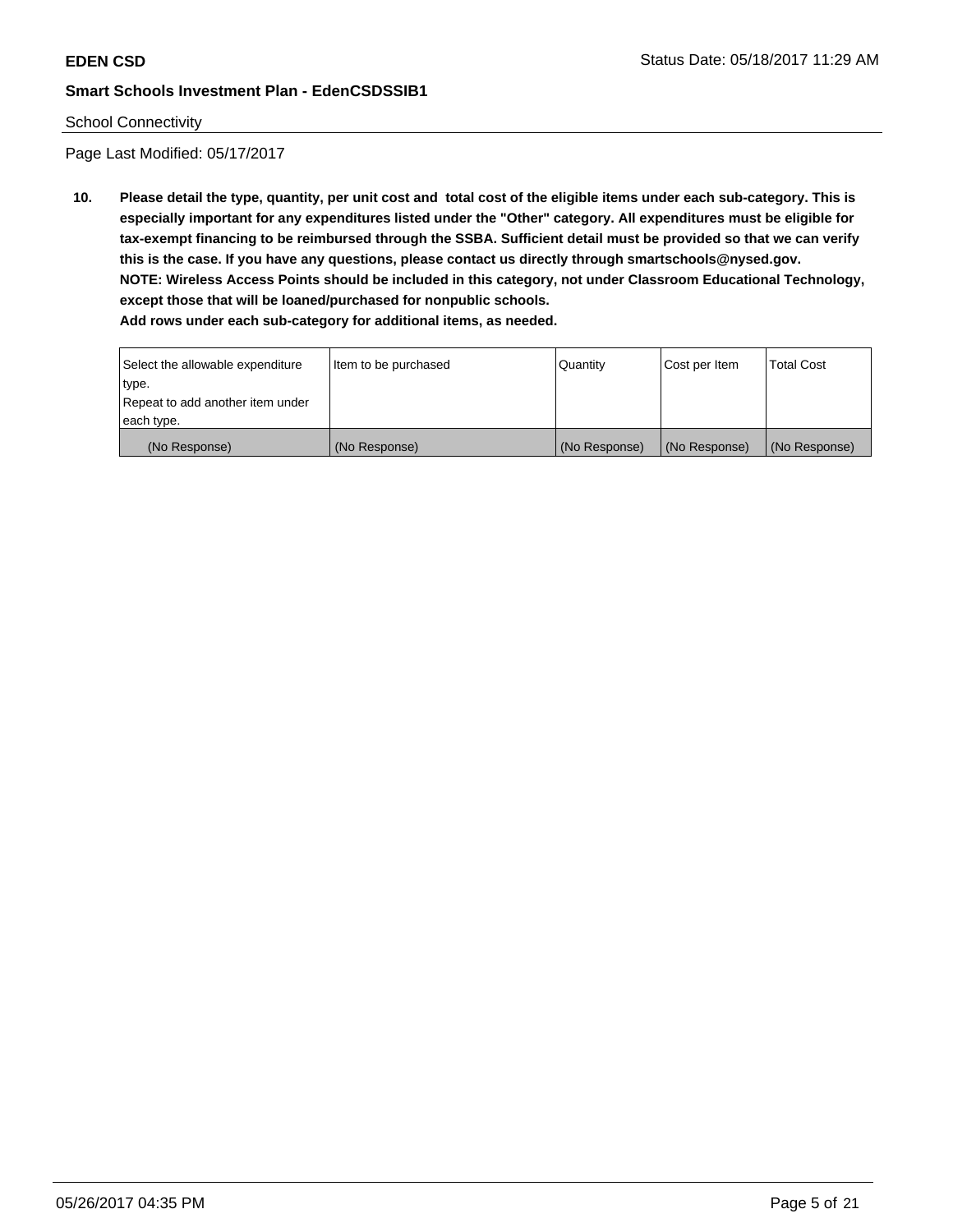## School Connectivity

Page Last Modified: 05/17/2017

**10. Please detail the type, quantity, per unit cost and total cost of the eligible items under each sub-category. This is especially important for any expenditures listed under the "Other" category. All expenditures must be eligible for tax-exempt financing to be reimbursed through the SSBA. Sufficient detail must be provided so that we can verify this is the case. If you have any questions, please contact us directly through smartschools@nysed.gov. NOTE: Wireless Access Points should be included in this category, not under Classroom Educational Technology, except those that will be loaned/purchased for nonpublic schools.**

| Select the allowable expenditure | Item to be purchased | Quantity      | Cost per Item | Total Cost    |
|----------------------------------|----------------------|---------------|---------------|---------------|
| type.                            |                      |               |               |               |
| Repeat to add another item under |                      |               |               |               |
| each type.                       |                      |               |               |               |
| (No Response)                    | (No Response)        | (No Response) | (No Response) | (No Response) |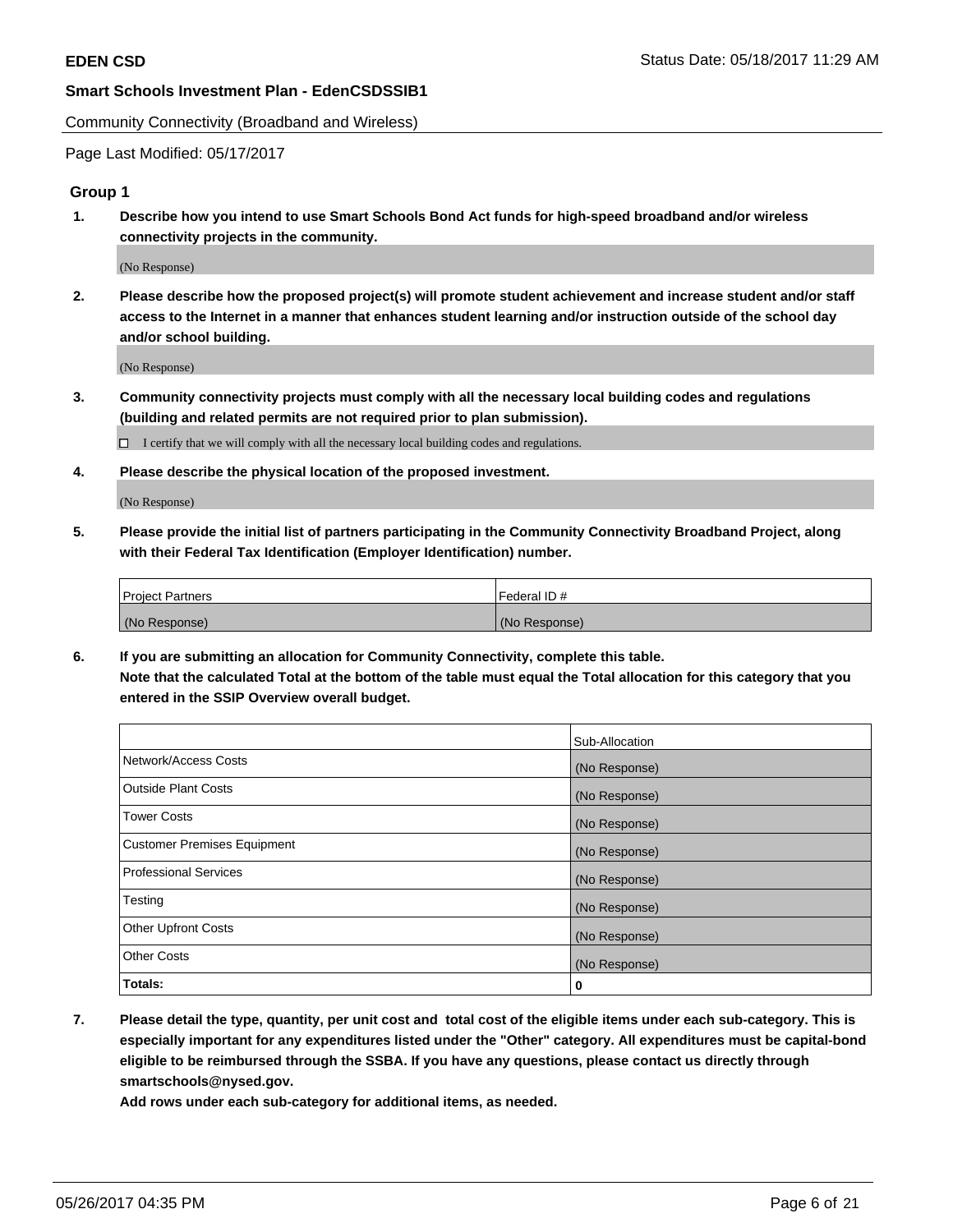Community Connectivity (Broadband and Wireless)

Page Last Modified: 05/17/2017

## **Group 1**

**1. Describe how you intend to use Smart Schools Bond Act funds for high-speed broadband and/or wireless connectivity projects in the community.**

(No Response)

**2. Please describe how the proposed project(s) will promote student achievement and increase student and/or staff access to the Internet in a manner that enhances student learning and/or instruction outside of the school day and/or school building.**

(No Response)

**3. Community connectivity projects must comply with all the necessary local building codes and regulations (building and related permits are not required prior to plan submission).**

 $\Box$  I certify that we will comply with all the necessary local building codes and regulations.

**4. Please describe the physical location of the proposed investment.**

(No Response)

**5. Please provide the initial list of partners participating in the Community Connectivity Broadband Project, along with their Federal Tax Identification (Employer Identification) number.**

| <b>Project Partners</b> | Federal ID#     |
|-------------------------|-----------------|
| (No Response)           | l (No Response) |

**6. If you are submitting an allocation for Community Connectivity, complete this table. Note that the calculated Total at the bottom of the table must equal the Total allocation for this category that you entered in the SSIP Overview overall budget.**

|                                    | Sub-Allocation |
|------------------------------------|----------------|
| Network/Access Costs               | (No Response)  |
| Outside Plant Costs                | (No Response)  |
| <b>Tower Costs</b>                 | (No Response)  |
| <b>Customer Premises Equipment</b> | (No Response)  |
| <b>Professional Services</b>       | (No Response)  |
| Testing                            | (No Response)  |
| <b>Other Upfront Costs</b>         | (No Response)  |
| <b>Other Costs</b>                 | (No Response)  |
| Totals:                            | 0              |

**7. Please detail the type, quantity, per unit cost and total cost of the eligible items under each sub-category. This is especially important for any expenditures listed under the "Other" category. All expenditures must be capital-bond eligible to be reimbursed through the SSBA. If you have any questions, please contact us directly through smartschools@nysed.gov.**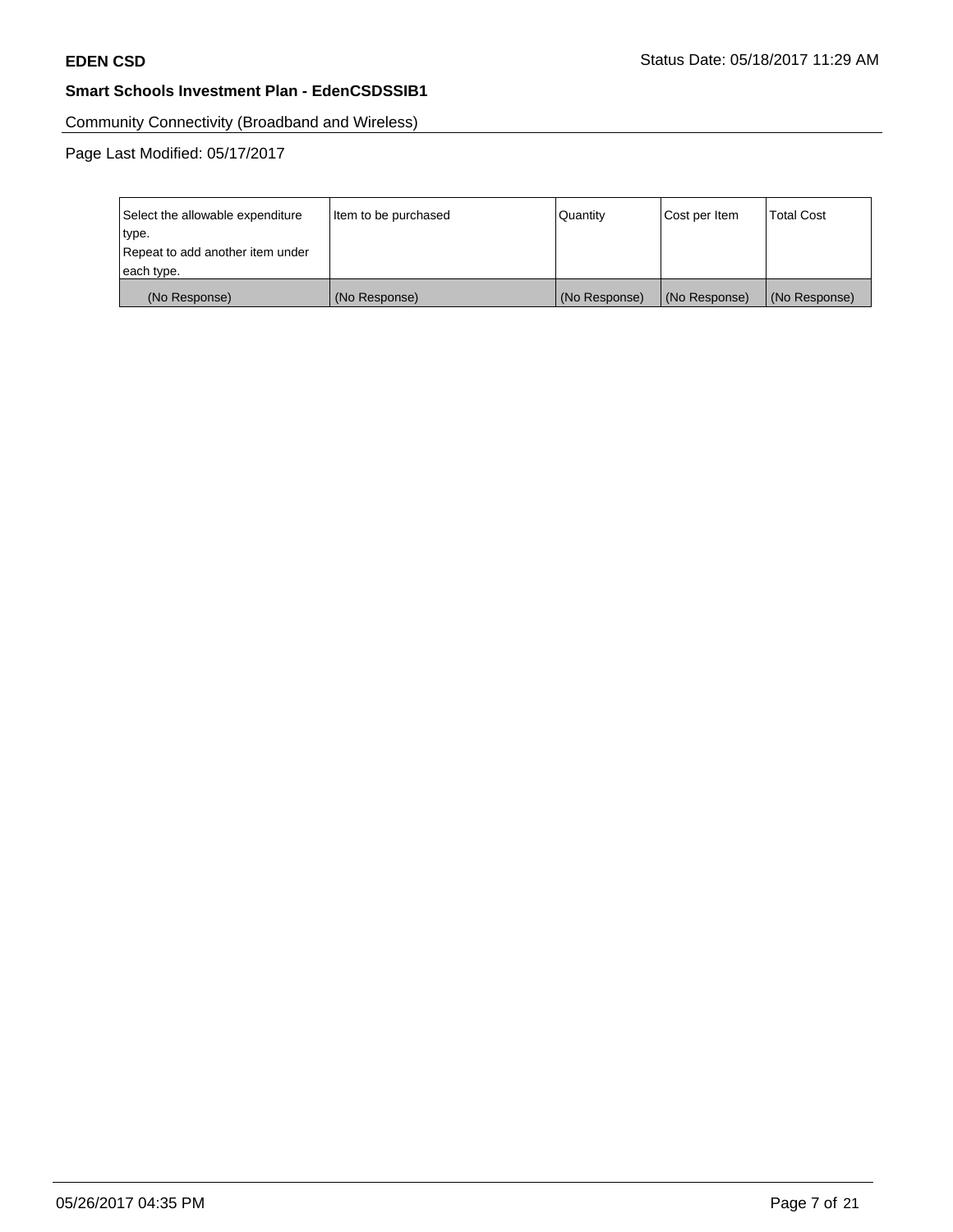Community Connectivity (Broadband and Wireless)

Page Last Modified: 05/17/2017

| Select the allowable expenditure | Item to be purchased | Quantity      | Cost per Item | <b>Total Cost</b> |
|----------------------------------|----------------------|---------------|---------------|-------------------|
| type.                            |                      |               |               |                   |
| Repeat to add another item under |                      |               |               |                   |
| each type.                       |                      |               |               |                   |
| (No Response)                    | (No Response)        | (No Response) | (No Response) | (No Response)     |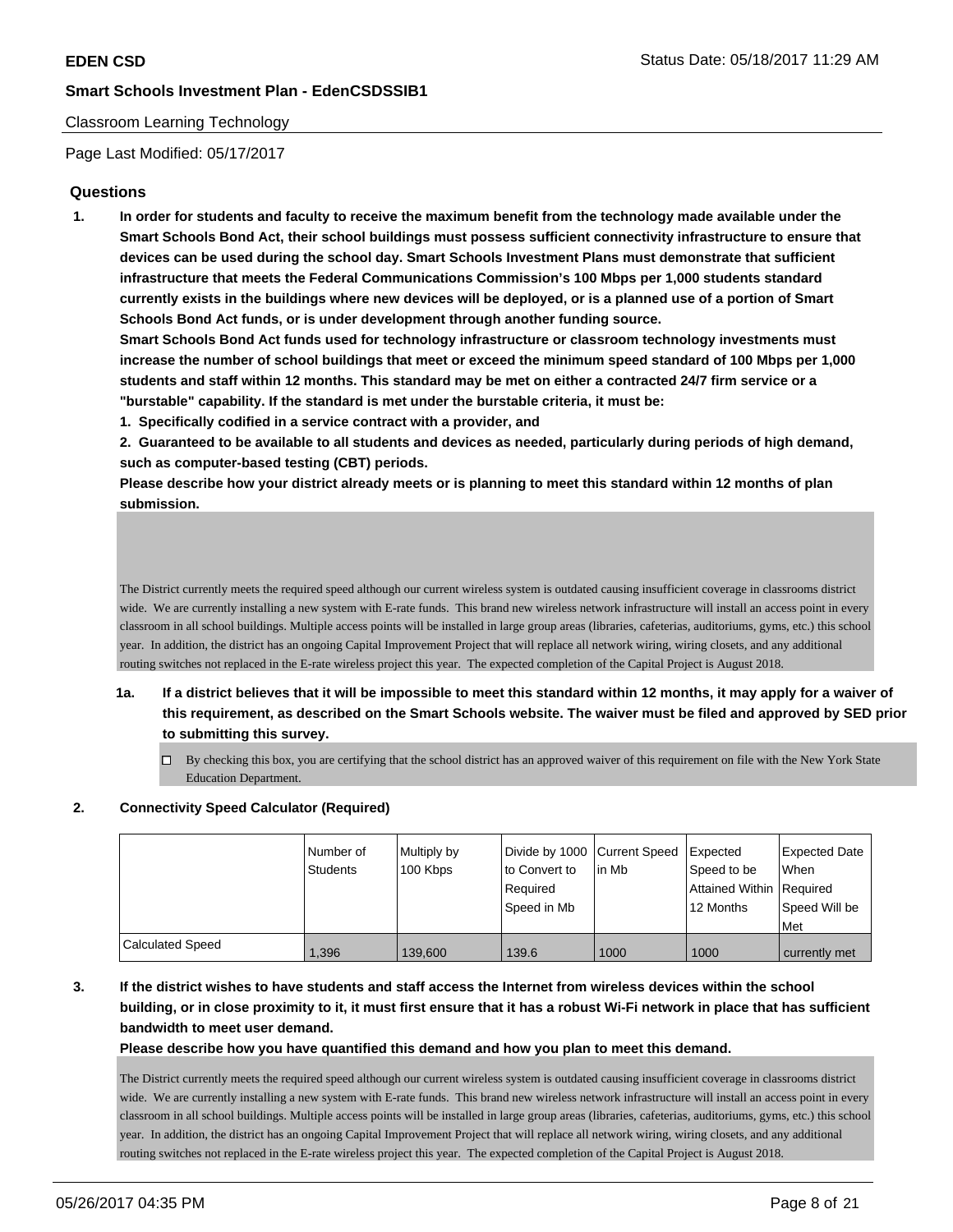## Classroom Learning Technology

Page Last Modified: 05/17/2017

## **Questions**

**1. In order for students and faculty to receive the maximum benefit from the technology made available under the Smart Schools Bond Act, their school buildings must possess sufficient connectivity infrastructure to ensure that devices can be used during the school day. Smart Schools Investment Plans must demonstrate that sufficient infrastructure that meets the Federal Communications Commission's 100 Mbps per 1,000 students standard currently exists in the buildings where new devices will be deployed, or is a planned use of a portion of Smart Schools Bond Act funds, or is under development through another funding source.**

**Smart Schools Bond Act funds used for technology infrastructure or classroom technology investments must increase the number of school buildings that meet or exceed the minimum speed standard of 100 Mbps per 1,000 students and staff within 12 months. This standard may be met on either a contracted 24/7 firm service or a "burstable" capability. If the standard is met under the burstable criteria, it must be:**

**1. Specifically codified in a service contract with a provider, and**

**2. Guaranteed to be available to all students and devices as needed, particularly during periods of high demand, such as computer-based testing (CBT) periods.**

**Please describe how your district already meets or is planning to meet this standard within 12 months of plan submission.**

The District currently meets the required speed although our current wireless system is outdated causing insufficient coverage in classrooms district wide. We are currently installing a new system with E-rate funds. This brand new wireless network infrastructure will install an access point in every classroom in all school buildings. Multiple access points will be installed in large group areas (libraries, cafeterias, auditoriums, gyms, etc.) this school year. In addition, the district has an ongoing Capital Improvement Project that will replace all network wiring, wiring closets, and any additional routing switches not replaced in the E-rate wireless project this year. The expected completion of the Capital Project is August 2018.

- **1a. If a district believes that it will be impossible to meet this standard within 12 months, it may apply for a waiver of this requirement, as described on the Smart Schools website. The waiver must be filed and approved by SED prior to submitting this survey.**
	- $\Box$  By checking this box, you are certifying that the school district has an approved waiver of this requirement on file with the New York State Education Department.

### **2. Connectivity Speed Calculator (Required)**

|                  | l Number of<br><b>Students</b> | Multiply by<br>100 Kbps | Divide by 1000 Current Speed<br>to Convert to<br>Required<br>Speed in Mb | l in Mb | <b>Expected</b><br>Speed to be<br>Attained Within Required<br>12 Months | <b>Expected Date</b><br>When<br>Speed Will be<br>l Met |
|------------------|--------------------------------|-------------------------|--------------------------------------------------------------------------|---------|-------------------------------------------------------------------------|--------------------------------------------------------|
| Calculated Speed | 1,396                          | 139,600                 | 139.6                                                                    | 1000    | 1000                                                                    | currently met                                          |

## **3. If the district wishes to have students and staff access the Internet from wireless devices within the school building, or in close proximity to it, it must first ensure that it has a robust Wi-Fi network in place that has sufficient bandwidth to meet user demand.**

### **Please describe how you have quantified this demand and how you plan to meet this demand.**

The District currently meets the required speed although our current wireless system is outdated causing insufficient coverage in classrooms district wide. We are currently installing a new system with E-rate funds. This brand new wireless network infrastructure will install an access point in every classroom in all school buildings. Multiple access points will be installed in large group areas (libraries, cafeterias, auditoriums, gyms, etc.) this school year. In addition, the district has an ongoing Capital Improvement Project that will replace all network wiring, wiring closets, and any additional routing switches not replaced in the E-rate wireless project this year. The expected completion of the Capital Project is August 2018.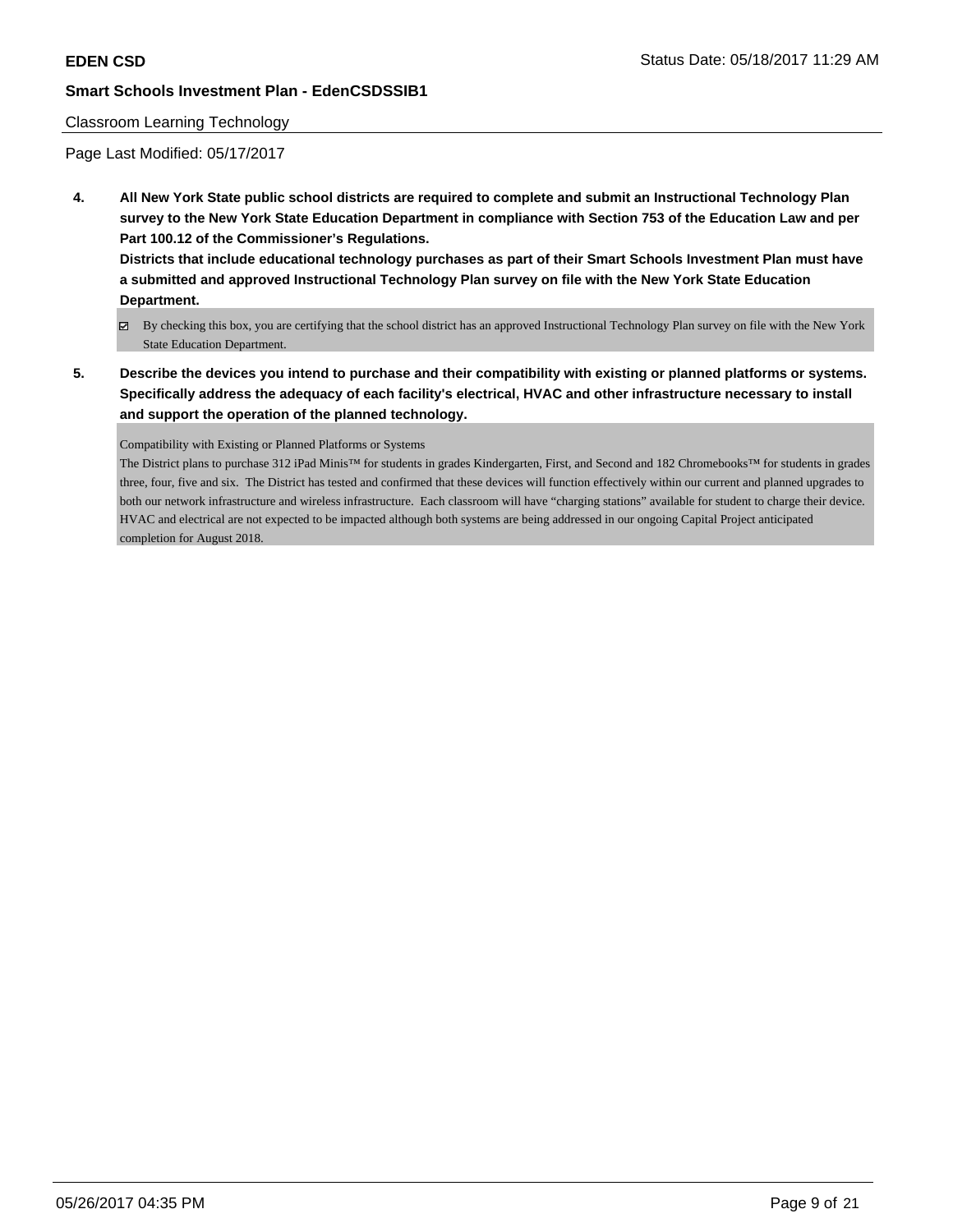### Classroom Learning Technology

Page Last Modified: 05/17/2017

**4. All New York State public school districts are required to complete and submit an Instructional Technology Plan survey to the New York State Education Department in compliance with Section 753 of the Education Law and per Part 100.12 of the Commissioner's Regulations.**

**Districts that include educational technology purchases as part of their Smart Schools Investment Plan must have a submitted and approved Instructional Technology Plan survey on file with the New York State Education Department.**

- By checking this box, you are certifying that the school district has an approved Instructional Technology Plan survey on file with the New York State Education Department.
- **5. Describe the devices you intend to purchase and their compatibility with existing or planned platforms or systems. Specifically address the adequacy of each facility's electrical, HVAC and other infrastructure necessary to install and support the operation of the planned technology.**

Compatibility with Existing or Planned Platforms or Systems

The District plans to purchase 312 iPad Minis™ for students in grades Kindergarten, First, and Second and 182 Chromebooks™ for students in grades three, four, five and six. The District has tested and confirmed that these devices will function effectively within our current and planned upgrades to both our network infrastructure and wireless infrastructure. Each classroom will have "charging stations" available for student to charge their device. HVAC and electrical are not expected to be impacted although both systems are being addressed in our ongoing Capital Project anticipated completion for August 2018.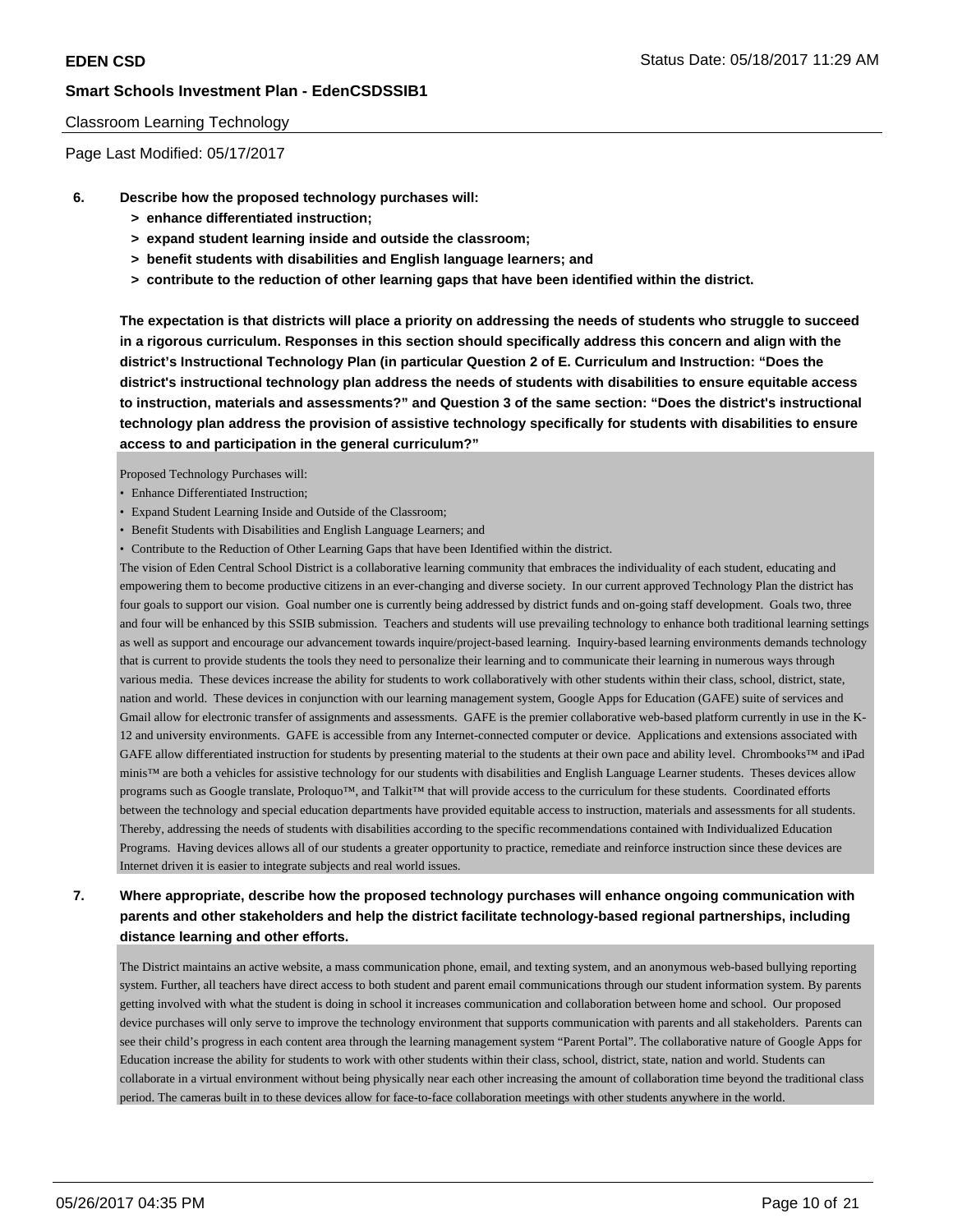### Classroom Learning Technology

Page Last Modified: 05/17/2017

- **6. Describe how the proposed technology purchases will:**
	- **> enhance differentiated instruction;**
	- **> expand student learning inside and outside the classroom;**
	- **> benefit students with disabilities and English language learners; and**
	- **> contribute to the reduction of other learning gaps that have been identified within the district.**

**The expectation is that districts will place a priority on addressing the needs of students who struggle to succeed in a rigorous curriculum. Responses in this section should specifically address this concern and align with the district's Instructional Technology Plan (in particular Question 2 of E. Curriculum and Instruction: "Does the district's instructional technology plan address the needs of students with disabilities to ensure equitable access to instruction, materials and assessments?" and Question 3 of the same section: "Does the district's instructional technology plan address the provision of assistive technology specifically for students with disabilities to ensure access to and participation in the general curriculum?"**

Proposed Technology Purchases will:

- Enhance Differentiated Instruction;
- Expand Student Learning Inside and Outside of the Classroom;
- Benefit Students with Disabilities and English Language Learners; and
- Contribute to the Reduction of Other Learning Gaps that have been Identified within the district.

The vision of Eden Central School District is a collaborative learning community that embraces the individuality of each student, educating and empowering them to become productive citizens in an ever-changing and diverse society. In our current approved Technology Plan the district has four goals to support our vision. Goal number one is currently being addressed by district funds and on-going staff development. Goals two, three and four will be enhanced by this SSIB submission. Teachers and students will use prevailing technology to enhance both traditional learning settings as well as support and encourage our advancement towards inquire/project-based learning. Inquiry-based learning environments demands technology that is current to provide students the tools they need to personalize their learning and to communicate their learning in numerous ways through various media. These devices increase the ability for students to work collaboratively with other students within their class, school, district, state, nation and world. These devices in conjunction with our learning management system, Google Apps for Education (GAFE) suite of services and Gmail allow for electronic transfer of assignments and assessments. GAFE is the premier collaborative web-based platform currently in use in the K-12 and university environments. GAFE is accessible from any Internet-connected computer or device. Applications and extensions associated with GAFE allow differentiated instruction for students by presenting material to the students at their own pace and ability level. Chrombooks™ and iPad minis™ are both a vehicles for assistive technology for our students with disabilities and English Language Learner students. Theses devices allow programs such as Google translate, Proloquo™, and Talkit™ that will provide access to the curriculum for these students. Coordinated efforts between the technology and special education departments have provided equitable access to instruction, materials and assessments for all students. Thereby, addressing the needs of students with disabilities according to the specific recommendations contained with Individualized Education Programs. Having devices allows all of our students a greater opportunity to practice, remediate and reinforce instruction since these devices are Internet driven it is easier to integrate subjects and real world issues.

## **7. Where appropriate, describe how the proposed technology purchases will enhance ongoing communication with parents and other stakeholders and help the district facilitate technology-based regional partnerships, including distance learning and other efforts.**

The District maintains an active website, a mass communication phone, email, and texting system, and an anonymous web-based bullying reporting system. Further, all teachers have direct access to both student and parent email communications through our student information system. By parents getting involved with what the student is doing in school it increases communication and collaboration between home and school. Our proposed device purchases will only serve to improve the technology environment that supports communication with parents and all stakeholders. Parents can see their child's progress in each content area through the learning management system "Parent Portal". The collaborative nature of Google Apps for Education increase the ability for students to work with other students within their class, school, district, state, nation and world. Students can collaborate in a virtual environment without being physically near each other increasing the amount of collaboration time beyond the traditional class period. The cameras built in to these devices allow for face-to-face collaboration meetings with other students anywhere in the world.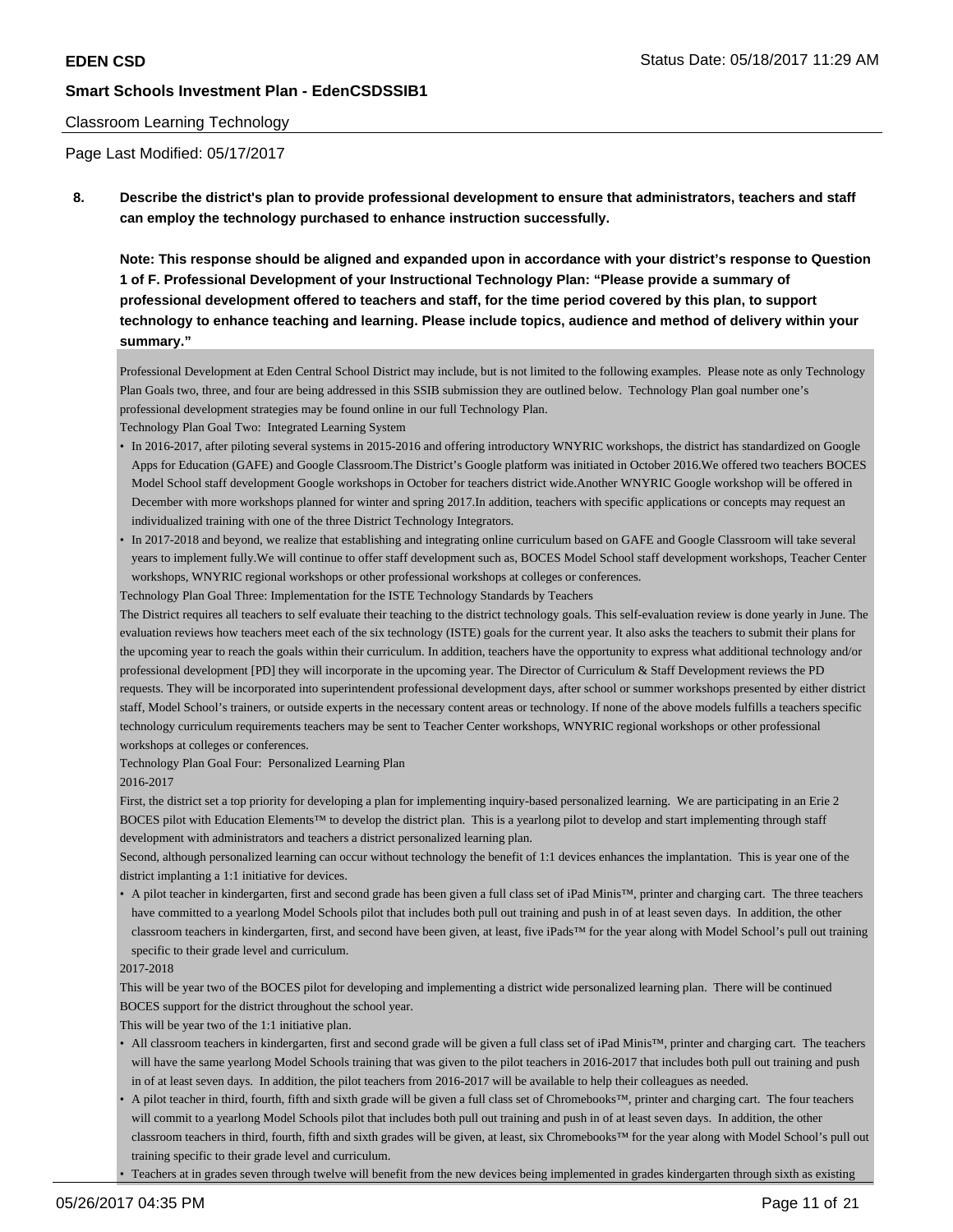### Classroom Learning Technology

Page Last Modified: 05/17/2017

**8. Describe the district's plan to provide professional development to ensure that administrators, teachers and staff can employ the technology purchased to enhance instruction successfully.**

**Note: This response should be aligned and expanded upon in accordance with your district's response to Question 1 of F. Professional Development of your Instructional Technology Plan: "Please provide a summary of professional development offered to teachers and staff, for the time period covered by this plan, to support technology to enhance teaching and learning. Please include topics, audience and method of delivery within your summary."**

Professional Development at Eden Central School District may include, but is not limited to the following examples. Please note as only Technology Plan Goals two, three, and four are being addressed in this SSIB submission they are outlined below. Technology Plan goal number one's professional development strategies may be found online in our full Technology Plan.

Technology Plan Goal Two: Integrated Learning System

- In 2016-2017, after piloting several systems in 2015-2016 and offering introductory WNYRIC workshops, the district has standardized on Google Apps for Education (GAFE) and Google Classroom.The District's Google platform was initiated in October 2016.We offered two teachers BOCES Model School staff development Google workshops in October for teachers district wide.Another WNYRIC Google workshop will be offered in December with more workshops planned for winter and spring 2017.In addition, teachers with specific applications or concepts may request an individualized training with one of the three District Technology Integrators.
- In 2017-2018 and beyond, we realize that establishing and integrating online curriculum based on GAFE and Google Classroom will take several years to implement fully.We will continue to offer staff development such as, BOCES Model School staff development workshops, Teacher Center workshops, WNYRIC regional workshops or other professional workshops at colleges or conferences.

Technology Plan Goal Three: Implementation for the ISTE Technology Standards by Teachers

The District requires all teachers to self evaluate their teaching to the district technology goals. This self-evaluation review is done yearly in June. The evaluation reviews how teachers meet each of the six technology (ISTE) goals for the current year. It also asks the teachers to submit their plans for the upcoming year to reach the goals within their curriculum. In addition, teachers have the opportunity to express what additional technology and/or professional development [PD] they will incorporate in the upcoming year. The Director of Curriculum & Staff Development reviews the PD requests. They will be incorporated into superintendent professional development days, after school or summer workshops presented by either district staff, Model School's trainers, or outside experts in the necessary content areas or technology. If none of the above models fulfills a teachers specific technology curriculum requirements teachers may be sent to Teacher Center workshops, WNYRIC regional workshops or other professional workshops at colleges or conferences.

Technology Plan Goal Four: Personalized Learning Plan

#### 2016-2017

First, the district set a top priority for developing a plan for implementing inquiry-based personalized learning. We are participating in an Erie 2 BOCES pilot with Education Elements™ to develop the district plan. This is a yearlong pilot to develop and start implementing through staff development with administrators and teachers a district personalized learning plan.

Second, although personalized learning can occur without technology the benefit of 1:1 devices enhances the implantation. This is year one of the district implanting a 1:1 initiative for devices.

• A pilot teacher in kindergarten, first and second grade has been given a full class set of iPad Minis™, printer and charging cart. The three teachers have committed to a yearlong Model Schools pilot that includes both pull out training and push in of at least seven days. In addition, the other classroom teachers in kindergarten, first, and second have been given, at least, five iPads™ for the year along with Model School's pull out training specific to their grade level and curriculum.

#### 2017-2018

This will be year two of the BOCES pilot for developing and implementing a district wide personalized learning plan. There will be continued BOCES support for the district throughout the school year.

This will be year two of the 1:1 initiative plan.

- All classroom teachers in kindergarten, first and second grade will be given a full class set of iPad Minis™, printer and charging cart. The teachers will have the same yearlong Model Schools training that was given to the pilot teachers in 2016-2017 that includes both pull out training and push in of at least seven days. In addition, the pilot teachers from 2016-2017 will be available to help their colleagues as needed.
- A pilot teacher in third, fourth, fifth and sixth grade will be given a full class set of Chromebooks™, printer and charging cart. The four teachers will commit to a yearlong Model Schools pilot that includes both pull out training and push in of at least seven days. In addition, the other classroom teachers in third, fourth, fifth and sixth grades will be given, at least, six Chromebooks™ for the year along with Model School's pull out training specific to their grade level and curriculum.
- Teachers at in grades seven through twelve will benefit from the new devices being implemented in grades kindergarten through sixth as existing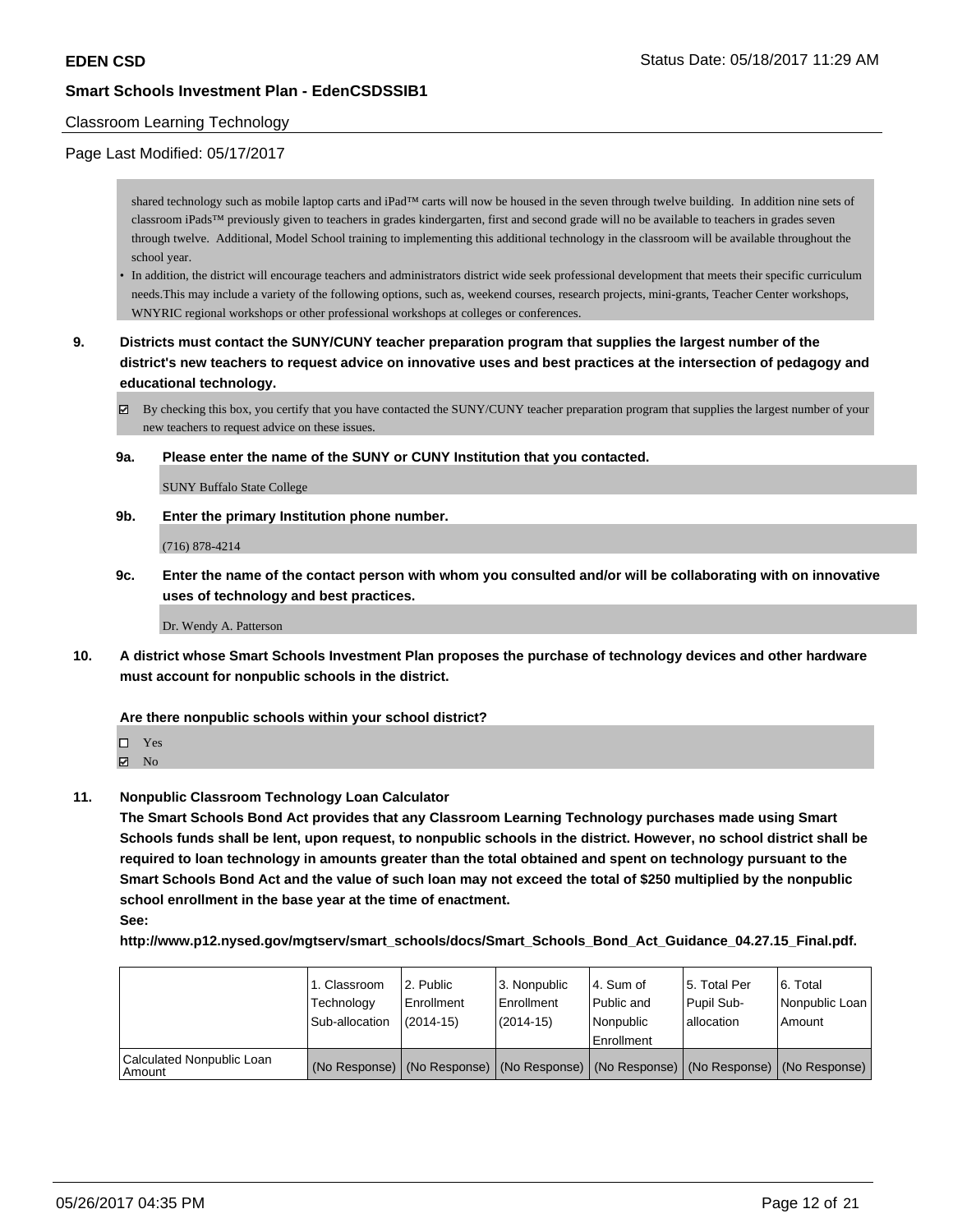### Classroom Learning Technology

### Page Last Modified: 05/17/2017

shared technology such as mobile laptop carts and iPad™ carts will now be housed in the seven through twelve building. In addition nine sets of classroom iPads™ previously given to teachers in grades kindergarten, first and second grade will no be available to teachers in grades seven through twelve. Additional, Model School training to implementing this additional technology in the classroom will be available throughout the school year.

- In addition, the district will encourage teachers and administrators district wide seek professional development that meets their specific curriculum needs.This may include a variety of the following options, such as, weekend courses, research projects, mini-grants, Teacher Center workshops, WNYRIC regional workshops or other professional workshops at colleges or conferences.
- **9. Districts must contact the SUNY/CUNY teacher preparation program that supplies the largest number of the district's new teachers to request advice on innovative uses and best practices at the intersection of pedagogy and educational technology.**
	- By checking this box, you certify that you have contacted the SUNY/CUNY teacher preparation program that supplies the largest number of your new teachers to request advice on these issues.
	- **9a. Please enter the name of the SUNY or CUNY Institution that you contacted.**

SUNY Buffalo State College

**9b. Enter the primary Institution phone number.**

(716) 878-4214

**9c. Enter the name of the contact person with whom you consulted and/or will be collaborating with on innovative uses of technology and best practices.**

Dr. Wendy A. Patterson

**10. A district whose Smart Schools Investment Plan proposes the purchase of technology devices and other hardware must account for nonpublic schools in the district.**

**Are there nonpublic schools within your school district?**

Yes

 $\boxtimes$  No

**11. Nonpublic Classroom Technology Loan Calculator**

**The Smart Schools Bond Act provides that any Classroom Learning Technology purchases made using Smart Schools funds shall be lent, upon request, to nonpublic schools in the district. However, no school district shall be required to loan technology in amounts greater than the total obtained and spent on technology pursuant to the Smart Schools Bond Act and the value of such loan may not exceed the total of \$250 multiplied by the nonpublic school enrollment in the base year at the time of enactment.**

### **See:**

**http://www.p12.nysed.gov/mgtserv/smart\_schools/docs/Smart\_Schools\_Bond\_Act\_Guidance\_04.27.15\_Final.pdf.**

|                                       | 1. Classroom<br>Technology<br>Sub-allocation | l 2. Public<br>l Enrollment<br>$(2014-15)$ | 3. Nonpublic<br>l Enrollment<br>(2014-15) | l 4. Sum of<br>Public and<br>l Nonpublic<br>Enrollment | 15. Total Per<br>Pupil Sub-<br>lallocation | 6. Total<br>Nonpublic Loan<br>Amount                                                          |
|---------------------------------------|----------------------------------------------|--------------------------------------------|-------------------------------------------|--------------------------------------------------------|--------------------------------------------|-----------------------------------------------------------------------------------------------|
| Calculated Nonpublic Loan<br>l Amount |                                              |                                            |                                           |                                                        |                                            | (No Response)   (No Response)   (No Response)   (No Response)   (No Response)   (No Response) |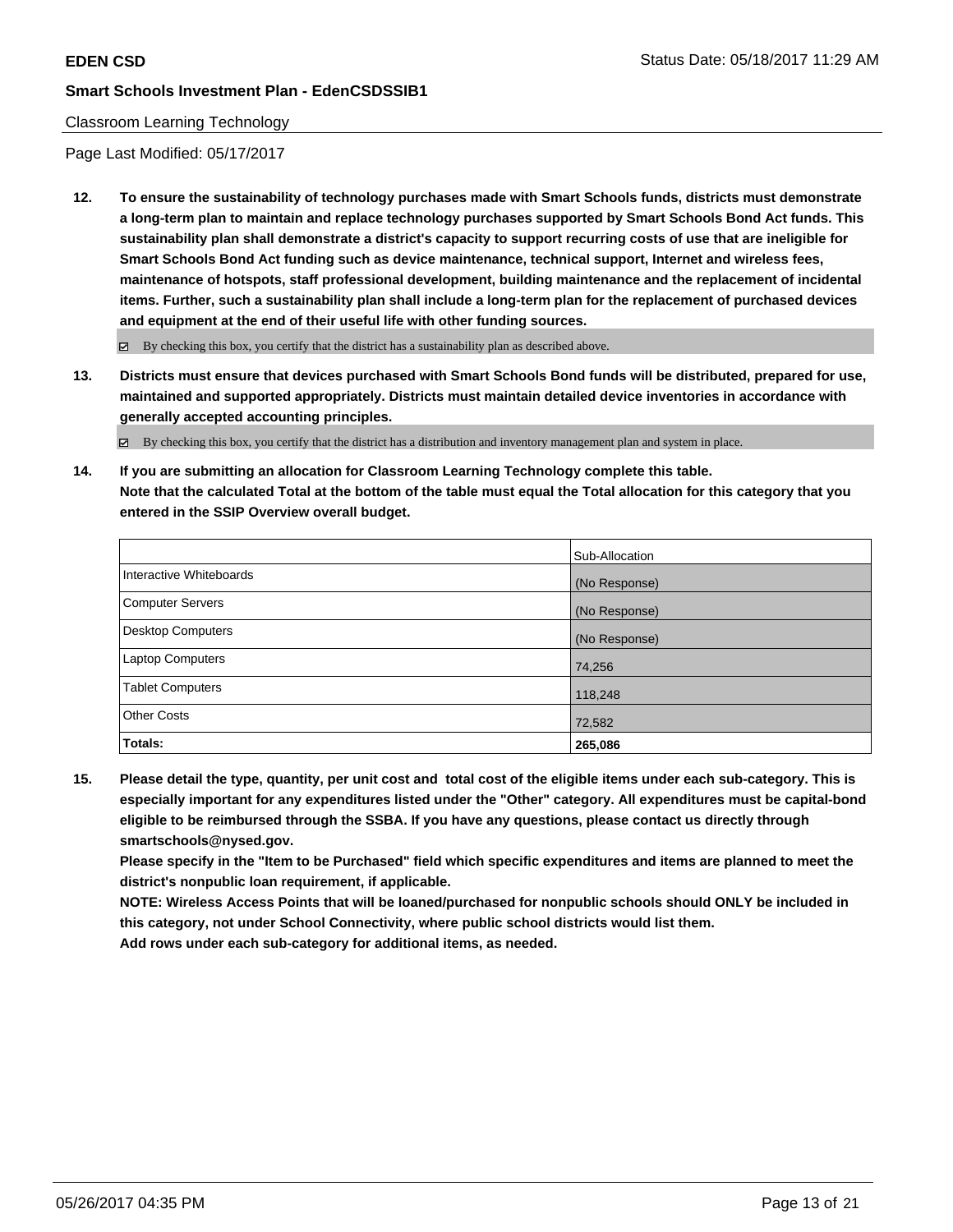### Classroom Learning Technology

Page Last Modified: 05/17/2017

**12. To ensure the sustainability of technology purchases made with Smart Schools funds, districts must demonstrate a long-term plan to maintain and replace technology purchases supported by Smart Schools Bond Act funds. This sustainability plan shall demonstrate a district's capacity to support recurring costs of use that are ineligible for Smart Schools Bond Act funding such as device maintenance, technical support, Internet and wireless fees, maintenance of hotspots, staff professional development, building maintenance and the replacement of incidental items. Further, such a sustainability plan shall include a long-term plan for the replacement of purchased devices and equipment at the end of their useful life with other funding sources.**

 $\boxtimes$  By checking this box, you certify that the district has a sustainability plan as described above.

**13. Districts must ensure that devices purchased with Smart Schools Bond funds will be distributed, prepared for use, maintained and supported appropriately. Districts must maintain detailed device inventories in accordance with generally accepted accounting principles.**

By checking this box, you certify that the district has a distribution and inventory management plan and system in place.

**14. If you are submitting an allocation for Classroom Learning Technology complete this table. Note that the calculated Total at the bottom of the table must equal the Total allocation for this category that you entered in the SSIP Overview overall budget.**

|                          | Sub-Allocation |
|--------------------------|----------------|
| Interactive Whiteboards  | (No Response)  |
| Computer Servers         | (No Response)  |
| <b>Desktop Computers</b> | (No Response)  |
| Laptop Computers         | 74,256         |
| <b>Tablet Computers</b>  | 118,248        |
| <b>Other Costs</b>       | 72,582         |
| Totals:                  | 265,086        |

**15. Please detail the type, quantity, per unit cost and total cost of the eligible items under each sub-category. This is especially important for any expenditures listed under the "Other" category. All expenditures must be capital-bond eligible to be reimbursed through the SSBA. If you have any questions, please contact us directly through smartschools@nysed.gov.**

**Please specify in the "Item to be Purchased" field which specific expenditures and items are planned to meet the district's nonpublic loan requirement, if applicable.**

**NOTE: Wireless Access Points that will be loaned/purchased for nonpublic schools should ONLY be included in this category, not under School Connectivity, where public school districts would list them.**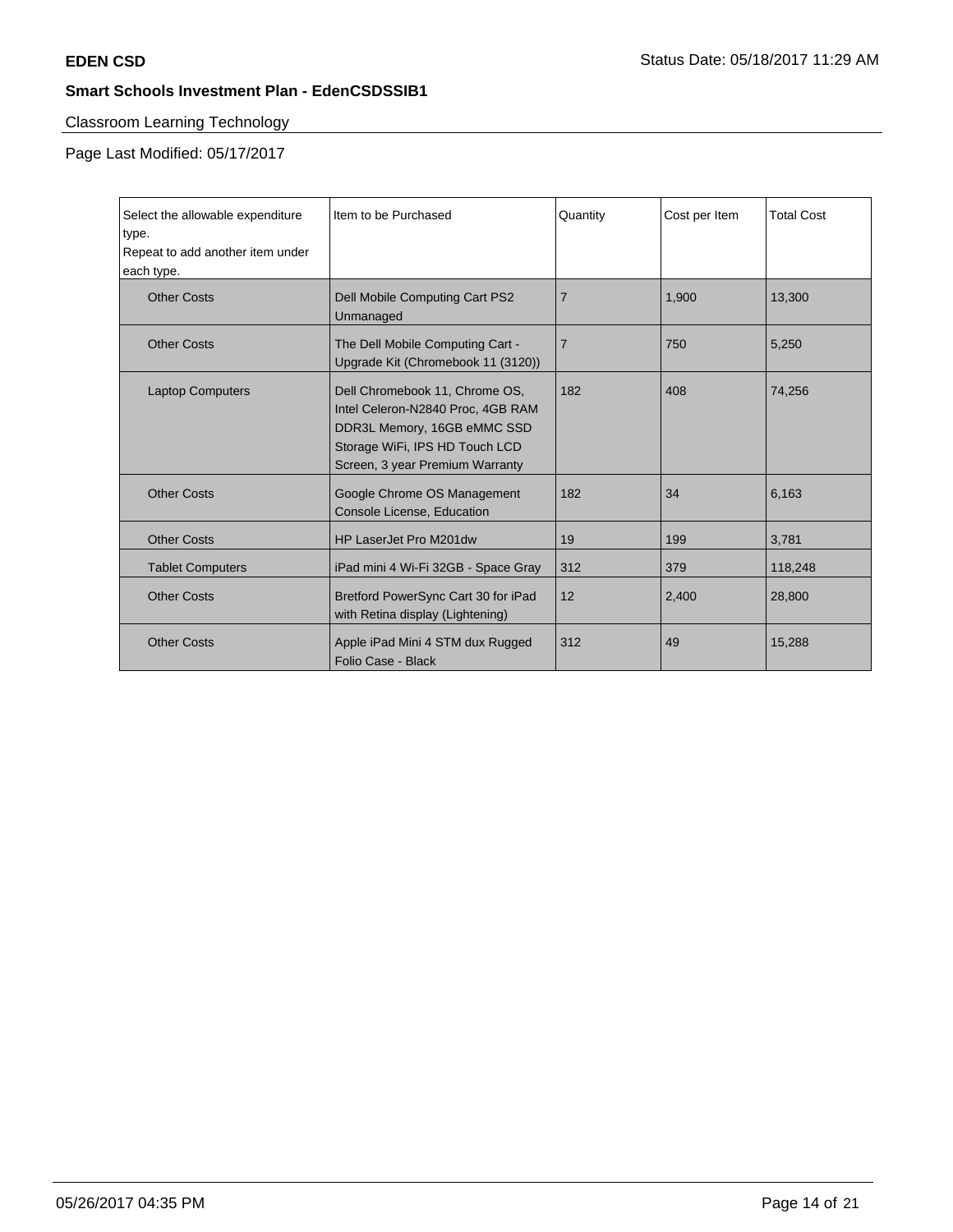# Classroom Learning Technology

Page Last Modified: 05/17/2017

| Select the allowable expenditure<br>type.<br>Repeat to add another item under<br>each type. | Item to be Purchased                                                                                                                                                    | Quantity       | Cost per Item | <b>Total Cost</b> |
|---------------------------------------------------------------------------------------------|-------------------------------------------------------------------------------------------------------------------------------------------------------------------------|----------------|---------------|-------------------|
| <b>Other Costs</b>                                                                          | Dell Mobile Computing Cart PS2<br>Unmanaged                                                                                                                             | $\overline{7}$ | 1.900         | 13,300            |
| <b>Other Costs</b>                                                                          | The Dell Mobile Computing Cart -<br>Upgrade Kit (Chromebook 11 (3120))                                                                                                  | $\overline{7}$ | 750           | 5,250             |
| <b>Laptop Computers</b>                                                                     | Dell Chromebook 11, Chrome OS,<br>Intel Celeron-N2840 Proc, 4GB RAM<br>DDR3L Memory, 16GB eMMC SSD<br>Storage WiFi, IPS HD Touch LCD<br>Screen, 3 year Premium Warranty | 182            | 408           | 74.256            |
| <b>Other Costs</b>                                                                          | Google Chrome OS Management<br>Console License, Education                                                                                                               | 182            | 34            | 6,163             |
| <b>Other Costs</b>                                                                          | HP LaserJet Pro M201dw                                                                                                                                                  | 19             | 199           | 3,781             |
| <b>Tablet Computers</b>                                                                     | iPad mini 4 Wi-Fi 32GB - Space Gray                                                                                                                                     | 312            | 379           | 118,248           |
| <b>Other Costs</b>                                                                          | Bretford PowerSync Cart 30 for iPad<br>with Retina display (Lightening)                                                                                                 | 12             | 2,400         | 28,800            |
| <b>Other Costs</b>                                                                          | Apple iPad Mini 4 STM dux Rugged<br>Folio Case - Black                                                                                                                  | 312            | 49            | 15,288            |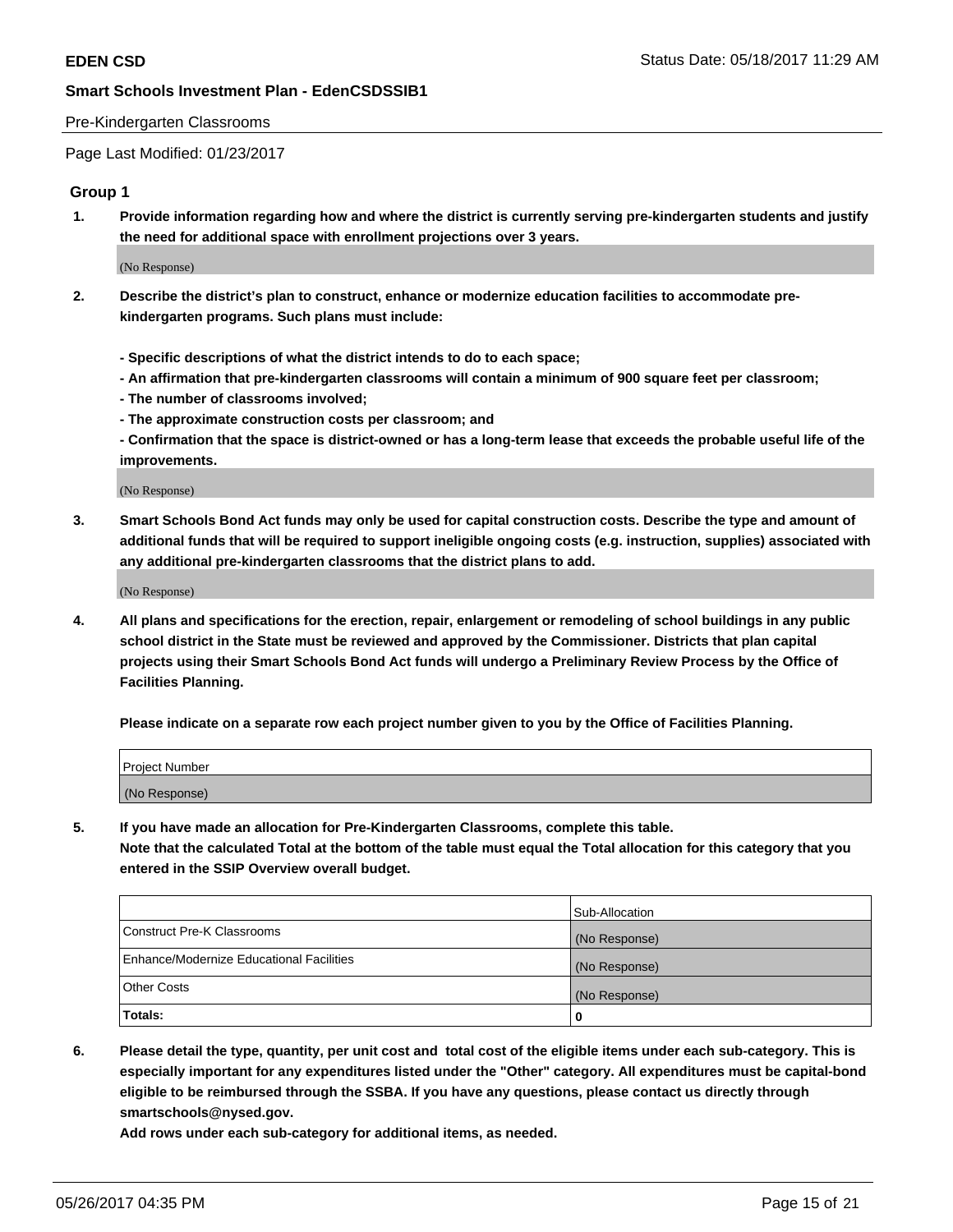### Pre-Kindergarten Classrooms

Page Last Modified: 01/23/2017

## **Group 1**

**1. Provide information regarding how and where the district is currently serving pre-kindergarten students and justify the need for additional space with enrollment projections over 3 years.**

(No Response)

- **2. Describe the district's plan to construct, enhance or modernize education facilities to accommodate prekindergarten programs. Such plans must include:**
	- **Specific descriptions of what the district intends to do to each space;**
	- **An affirmation that pre-kindergarten classrooms will contain a minimum of 900 square feet per classroom;**
	- **The number of classrooms involved;**
	- **The approximate construction costs per classroom; and**
	- **Confirmation that the space is district-owned or has a long-term lease that exceeds the probable useful life of the improvements.**

(No Response)

**3. Smart Schools Bond Act funds may only be used for capital construction costs. Describe the type and amount of additional funds that will be required to support ineligible ongoing costs (e.g. instruction, supplies) associated with any additional pre-kindergarten classrooms that the district plans to add.**

(No Response)

**4. All plans and specifications for the erection, repair, enlargement or remodeling of school buildings in any public school district in the State must be reviewed and approved by the Commissioner. Districts that plan capital projects using their Smart Schools Bond Act funds will undergo a Preliminary Review Process by the Office of Facilities Planning.**

**Please indicate on a separate row each project number given to you by the Office of Facilities Planning.**

| Project Number |  |
|----------------|--|
| (No Response)  |  |

**5. If you have made an allocation for Pre-Kindergarten Classrooms, complete this table. Note that the calculated Total at the bottom of the table must equal the Total allocation for this category that you entered in the SSIP Overview overall budget.**

| Totals:                                  | 0              |
|------------------------------------------|----------------|
| Other Costs                              | (No Response)  |
| Enhance/Modernize Educational Facilities | (No Response)  |
| Construct Pre-K Classrooms               | (No Response)  |
|                                          | Sub-Allocation |

**6. Please detail the type, quantity, per unit cost and total cost of the eligible items under each sub-category. This is especially important for any expenditures listed under the "Other" category. All expenditures must be capital-bond eligible to be reimbursed through the SSBA. If you have any questions, please contact us directly through smartschools@nysed.gov.**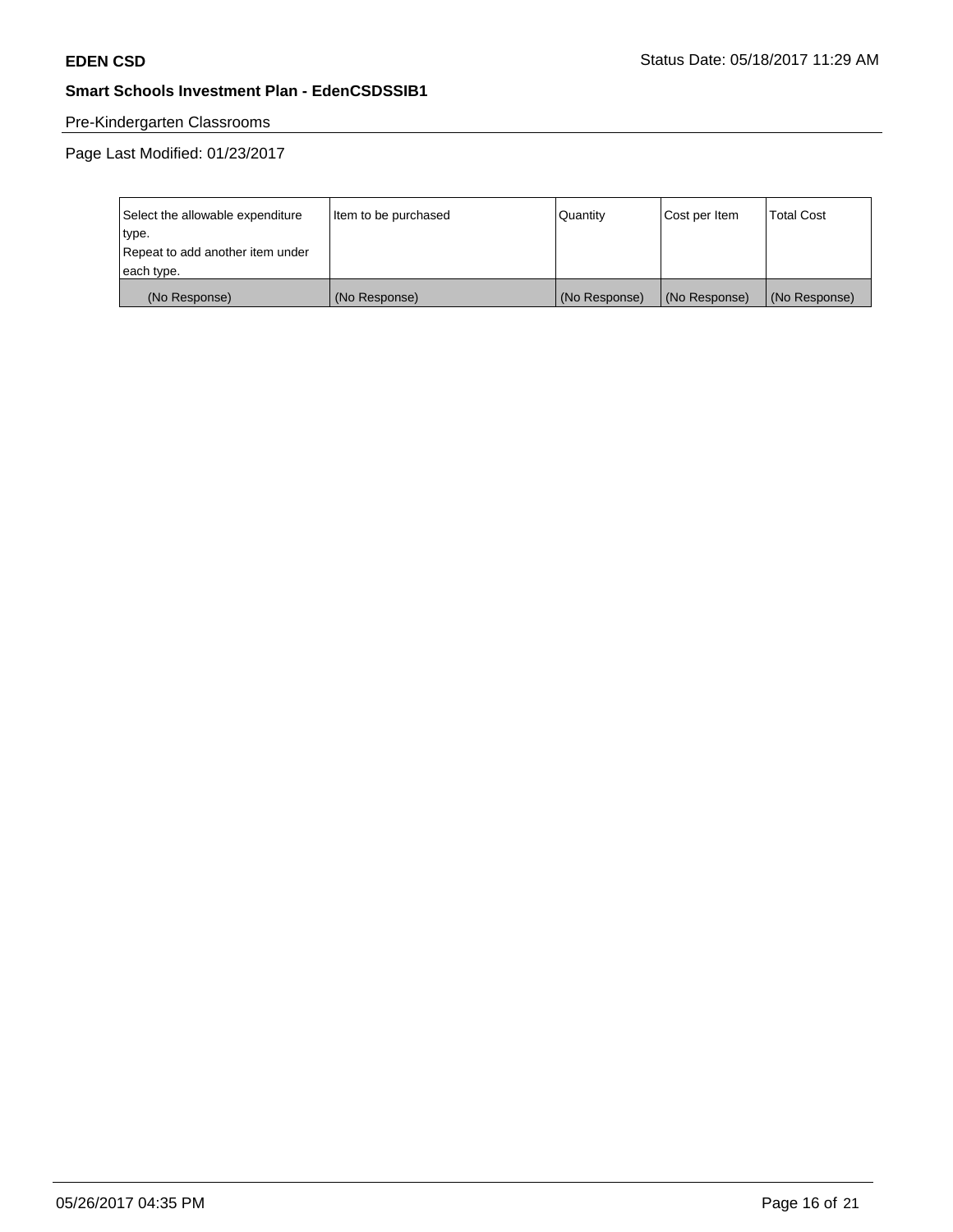# Pre-Kindergarten Classrooms

| Select the allowable expenditure | Item to be purchased | Quantity      | Cost per Item | <b>Total Cost</b> |
|----------------------------------|----------------------|---------------|---------------|-------------------|
| type.                            |                      |               |               |                   |
| Repeat to add another item under |                      |               |               |                   |
| each type.                       |                      |               |               |                   |
| (No Response)                    | (No Response)        | (No Response) | (No Response) | (No Response)     |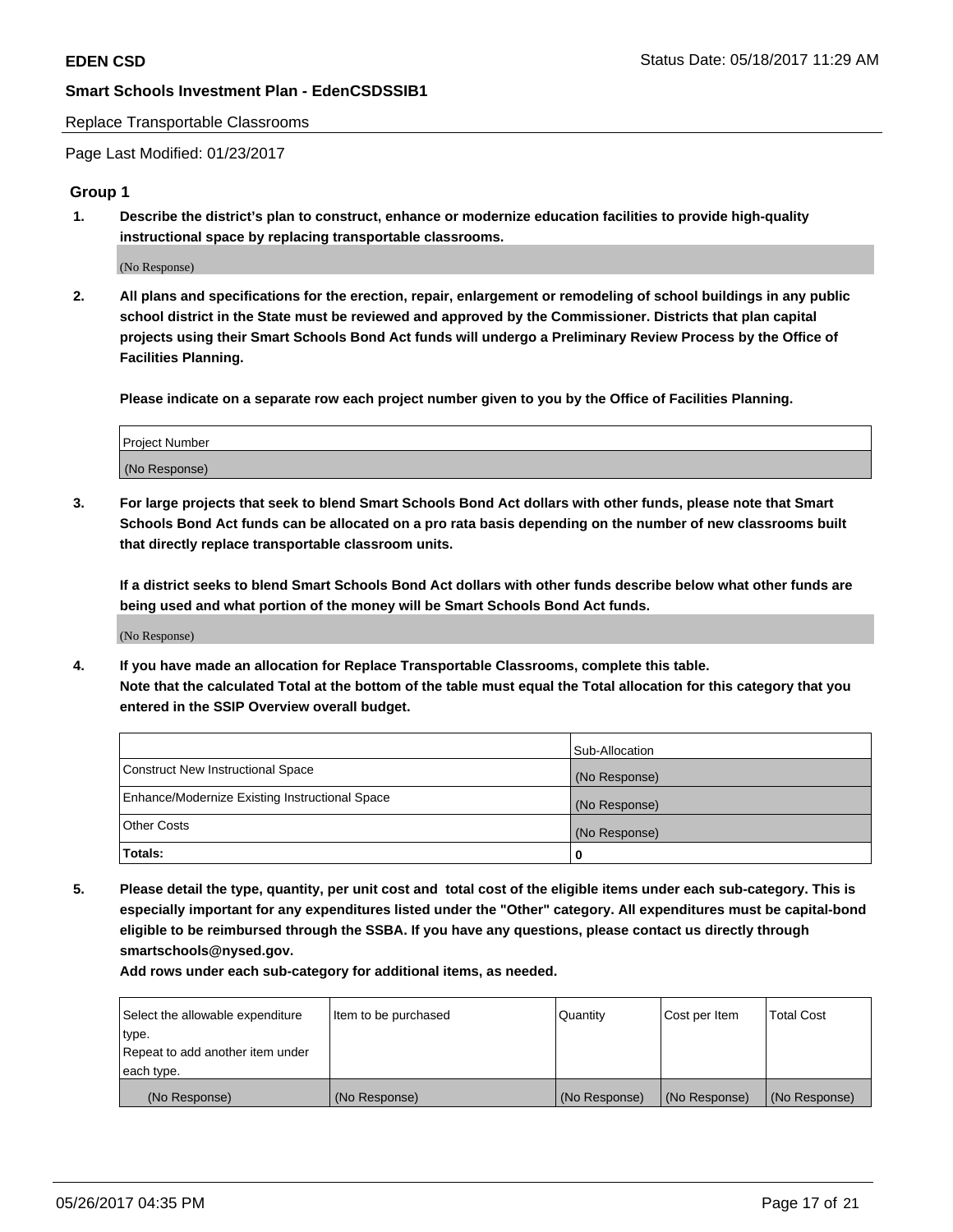#### Replace Transportable Classrooms

Page Last Modified: 01/23/2017

## **Group 1**

**1. Describe the district's plan to construct, enhance or modernize education facilities to provide high-quality instructional space by replacing transportable classrooms.**

(No Response)

**2. All plans and specifications for the erection, repair, enlargement or remodeling of school buildings in any public school district in the State must be reviewed and approved by the Commissioner. Districts that plan capital projects using their Smart Schools Bond Act funds will undergo a Preliminary Review Process by the Office of Facilities Planning.**

**Please indicate on a separate row each project number given to you by the Office of Facilities Planning.**

| Project Number |  |
|----------------|--|
| (No Response)  |  |

**3. For large projects that seek to blend Smart Schools Bond Act dollars with other funds, please note that Smart Schools Bond Act funds can be allocated on a pro rata basis depending on the number of new classrooms built that directly replace transportable classroom units.**

**If a district seeks to blend Smart Schools Bond Act dollars with other funds describe below what other funds are being used and what portion of the money will be Smart Schools Bond Act funds.**

(No Response)

**4. If you have made an allocation for Replace Transportable Classrooms, complete this table. Note that the calculated Total at the bottom of the table must equal the Total allocation for this category that you entered in the SSIP Overview overall budget.**

|                                                | Sub-Allocation |
|------------------------------------------------|----------------|
| Construct New Instructional Space              | (No Response)  |
| Enhance/Modernize Existing Instructional Space | (No Response)  |
| Other Costs                                    | (No Response)  |
| Totals:                                        | $\Omega$       |

**5. Please detail the type, quantity, per unit cost and total cost of the eligible items under each sub-category. This is especially important for any expenditures listed under the "Other" category. All expenditures must be capital-bond eligible to be reimbursed through the SSBA. If you have any questions, please contact us directly through smartschools@nysed.gov.**

| Select the allowable expenditure | Item to be purchased | Quantity      | Cost per Item | <b>Total Cost</b> |
|----------------------------------|----------------------|---------------|---------------|-------------------|
| type.                            |                      |               |               |                   |
| Repeat to add another item under |                      |               |               |                   |
| each type.                       |                      |               |               |                   |
| (No Response)                    | (No Response)        | (No Response) | (No Response) | (No Response)     |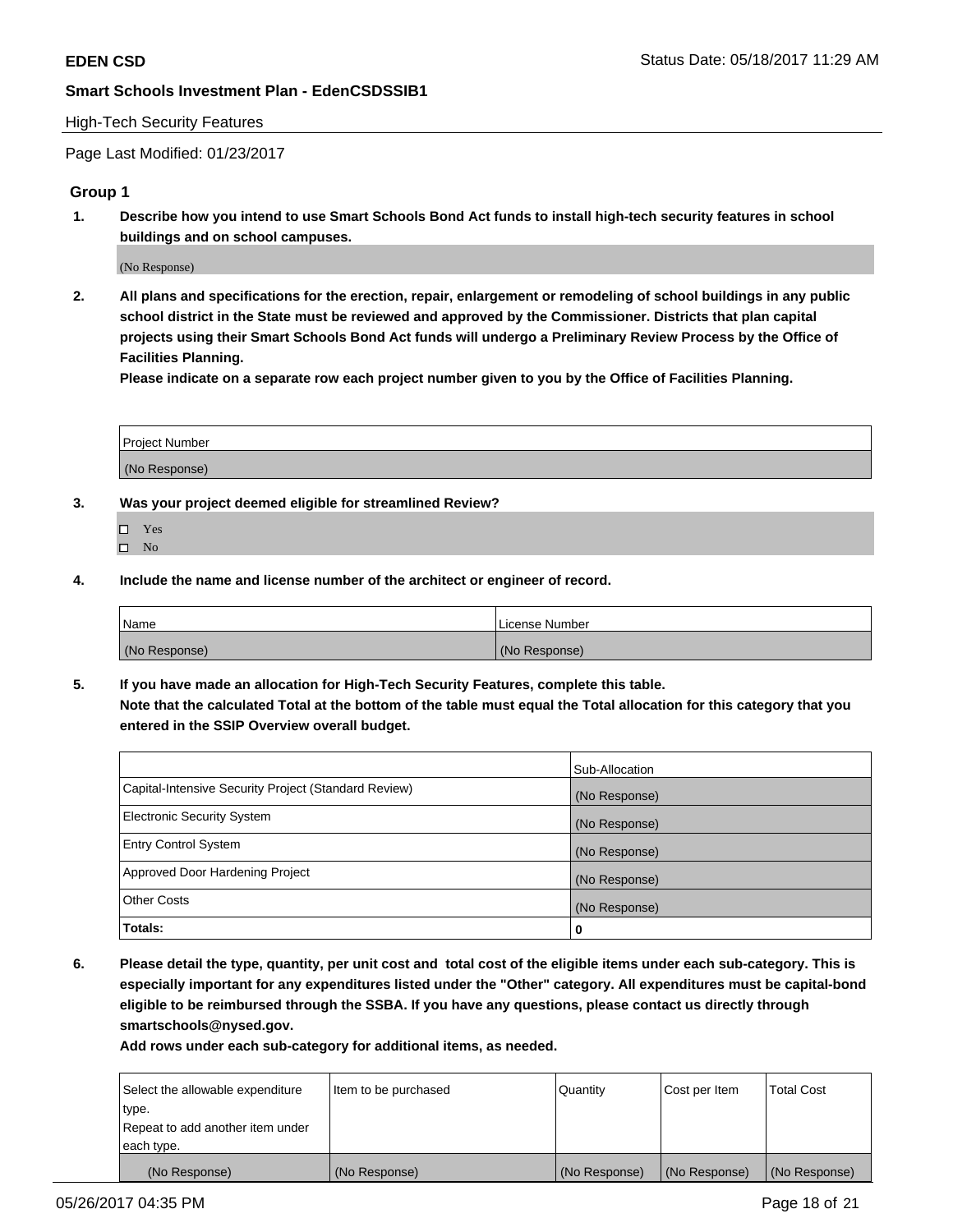### High-Tech Security Features

Page Last Modified: 01/23/2017

## **Group 1**

**1. Describe how you intend to use Smart Schools Bond Act funds to install high-tech security features in school buildings and on school campuses.**

(No Response)

**2. All plans and specifications for the erection, repair, enlargement or remodeling of school buildings in any public school district in the State must be reviewed and approved by the Commissioner. Districts that plan capital projects using their Smart Schools Bond Act funds will undergo a Preliminary Review Process by the Office of Facilities Planning.** 

**Please indicate on a separate row each project number given to you by the Office of Facilities Planning.**

| Project Number |  |
|----------------|--|
|                |  |
| (No Response)  |  |

- **3. Was your project deemed eligible for streamlined Review?**
	- Yes  $\hfill \square$  No
- **4. Include the name and license number of the architect or engineer of record.**

| Name          | l License Number |
|---------------|------------------|
| (No Response) | (No Response)    |

**5. If you have made an allocation for High-Tech Security Features, complete this table. Note that the calculated Total at the bottom of the table must equal the Total allocation for this category that you entered in the SSIP Overview overall budget.**

|                                                      | Sub-Allocation |
|------------------------------------------------------|----------------|
| Capital-Intensive Security Project (Standard Review) | (No Response)  |
| <b>Electronic Security System</b>                    | (No Response)  |
| <b>Entry Control System</b>                          | (No Response)  |
| Approved Door Hardening Project                      | (No Response)  |
| <b>Other Costs</b>                                   | (No Response)  |
| Totals:                                              | 0              |

**6. Please detail the type, quantity, per unit cost and total cost of the eligible items under each sub-category. This is especially important for any expenditures listed under the "Other" category. All expenditures must be capital-bond eligible to be reimbursed through the SSBA. If you have any questions, please contact us directly through smartschools@nysed.gov.**

| (No Response)                    | (No Response)        | (No Response) | (No Response) | (No Response)     |
|----------------------------------|----------------------|---------------|---------------|-------------------|
| each type.                       |                      |               |               |                   |
| Repeat to add another item under |                      |               |               |                   |
| type.                            |                      |               |               |                   |
| Select the allowable expenditure | Item to be purchased | Quantity      | Cost per Item | <b>Total Cost</b> |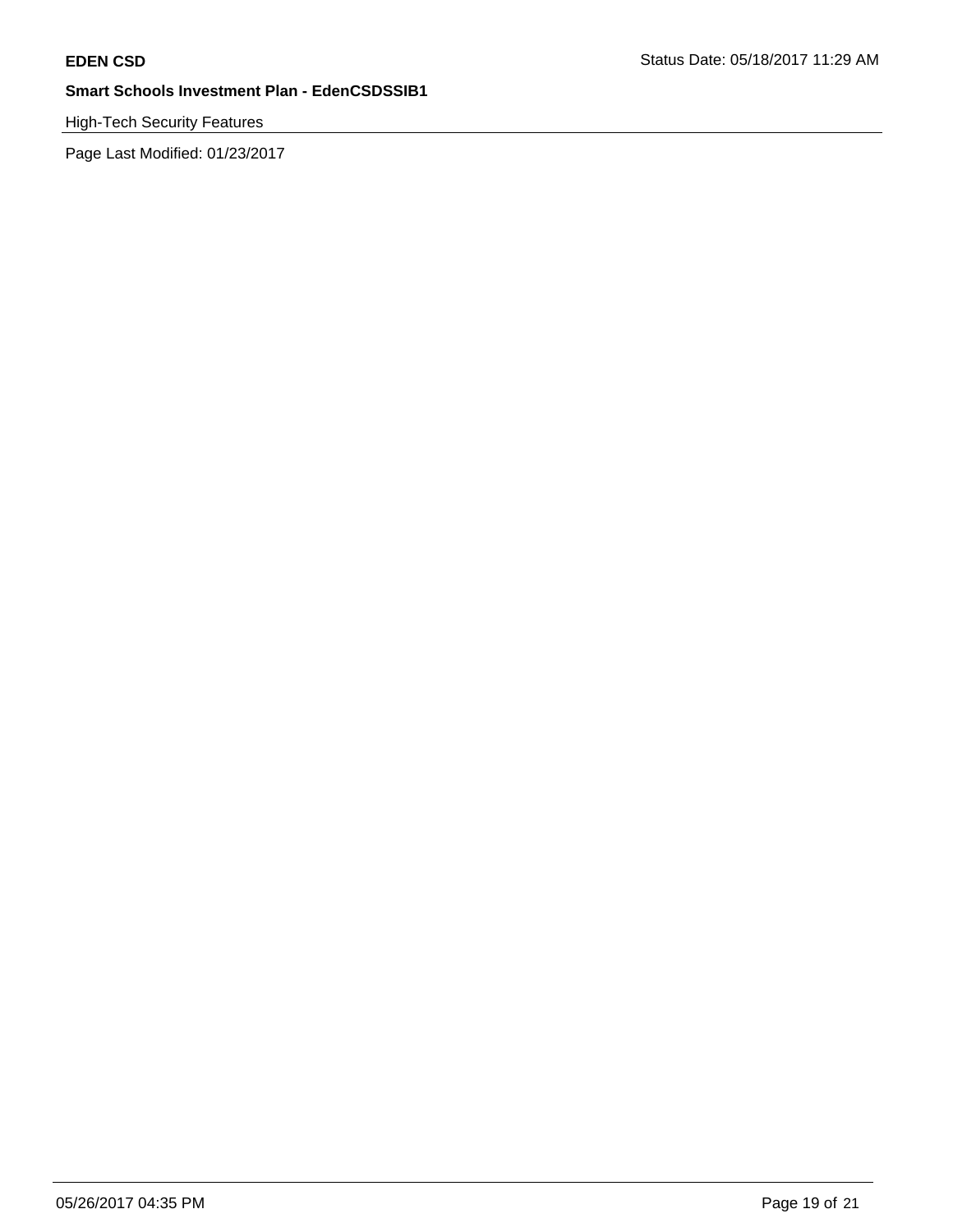# High-Tech Security Features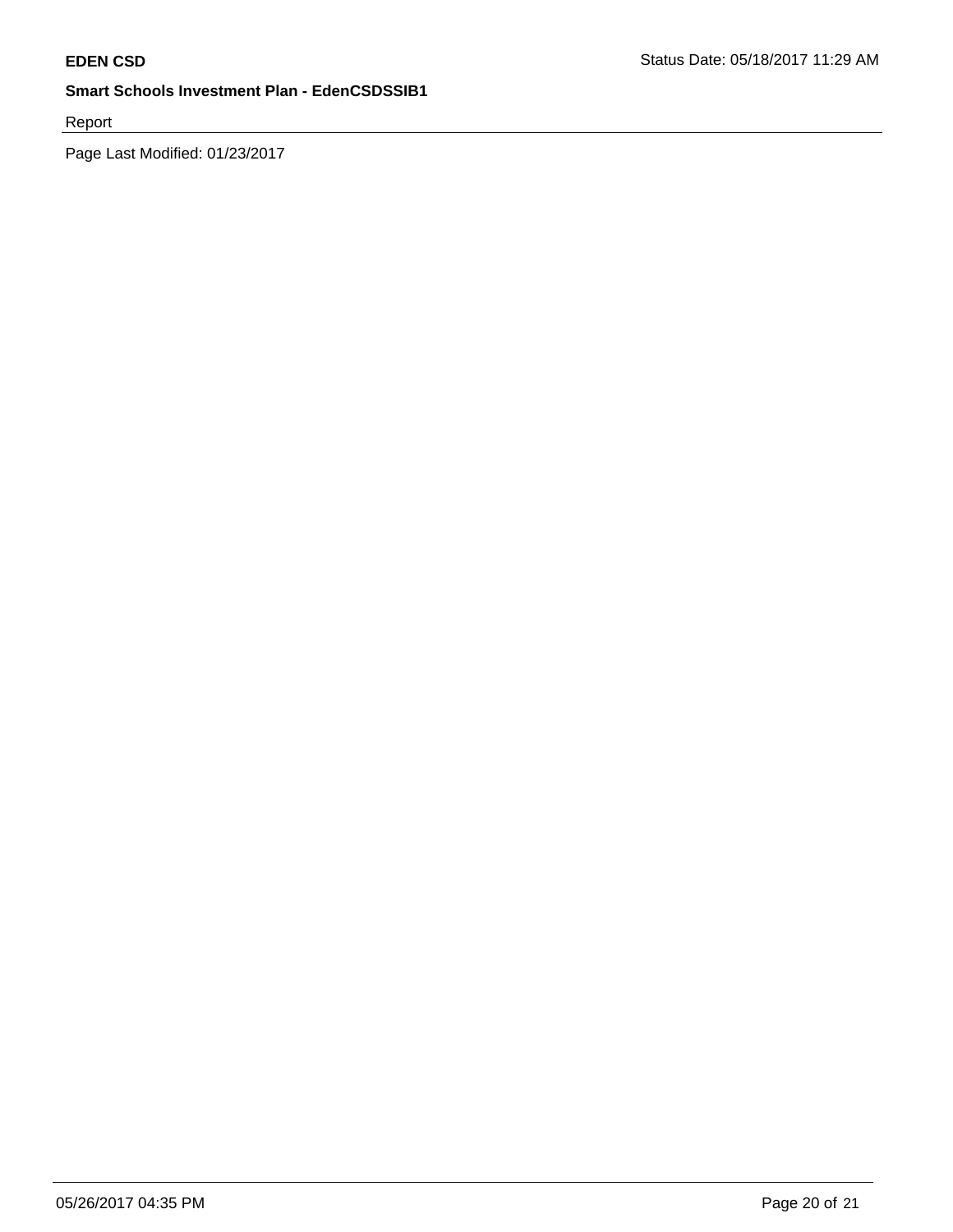Report